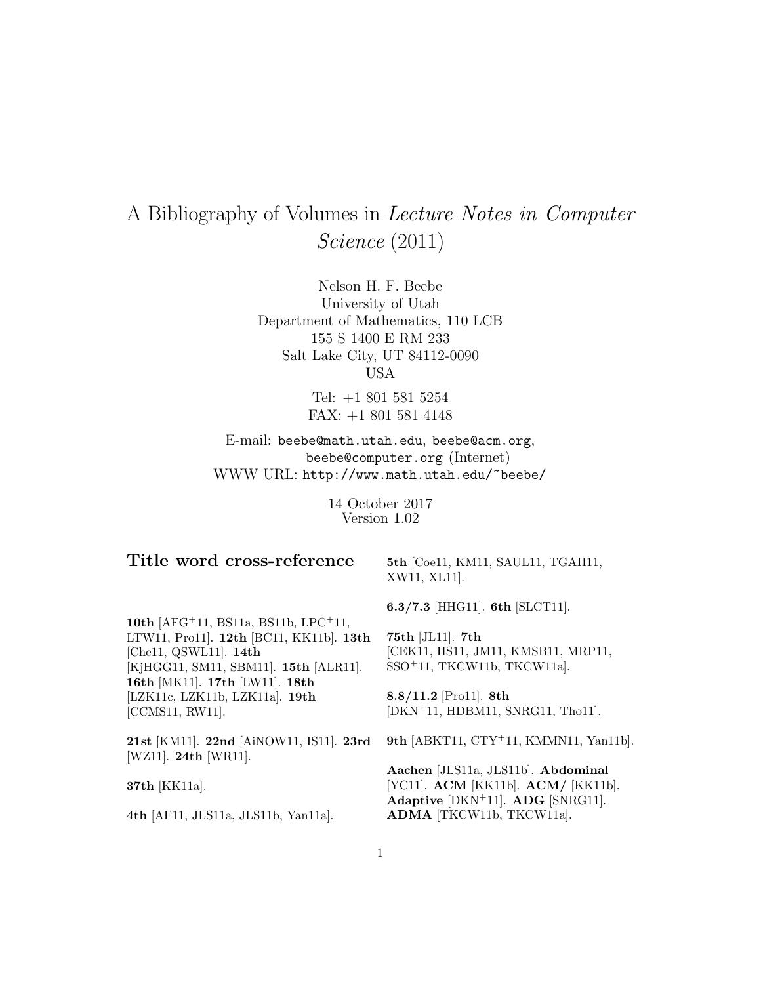# A Bibliography of Volumes in Lecture Notes in Computer Science (2011)

Nelson H. F. Beebe University of Utah Department of Mathematics, 110 LCB 155 S 1400 E RM 233 Salt Lake City, UT 84112-0090 USA

> Tel: +1 801 581 5254 FAX: +1 801 581 4148

E-mail: beebe@math.utah.edu, beebe@acm.org, beebe@computer.org (Internet) WWW URL: http://www.math.utah.edu/~beebe/

> 14 October 2017 Version 1.02

# **Title word cross-reference**

**5th** [Coe11, KM11, SAUL11, TGAH11, XW11, XL11].

**6.3/7.3** [HHG11]. **6th** [SLCT11].

**10th** [AFG<sup>+</sup>11, BS11a, BS11b, LPC<sup>+</sup>11, LTW11, Pro11]. **12th** [BC11, KK11b]. **13th** [Che11, QSWL11]. **14th** [KjHGG11, SM11, SBM11]. **15th** [ALR11]. **16th** [MK11]. **17th** [LW11]. **18th** [LZK11c, LZK11b, LZK11a]. **19th** [CCMS11, RW11].

**21st** [KM11]. **22nd** [AiNOW11, IS11]. **23rd** [WZ11]. **24th** [WR11].

**37th** [KK11a].

**4th** [AF11, JLS11a, JLS11b, Yan11a].

**75th** [JL11]. **7th** [CEK11, HS11, JM11, KMSB11, MRP11, SSO<sup>+</sup>11, TKCW11b, TKCW11a].

**8.8/11.2** [Pro11]. **8th** [DKN<sup>+</sup>11, HDBM11, SNRG11, Tho11].

**9th** [ABKT11, CTY<sup>+</sup>11, KMMN11, Yan11b].

**Aachen** [JLS11a, JLS11b]. **Abdominal** [YC11]. **ACM** [KK11b]. **ACM/** [KK11b]. **Adaptive** [DKN<sup>+</sup>11]. **ADG** [SNRG11]. **ADMA** [TKCW11b, TKCW11a].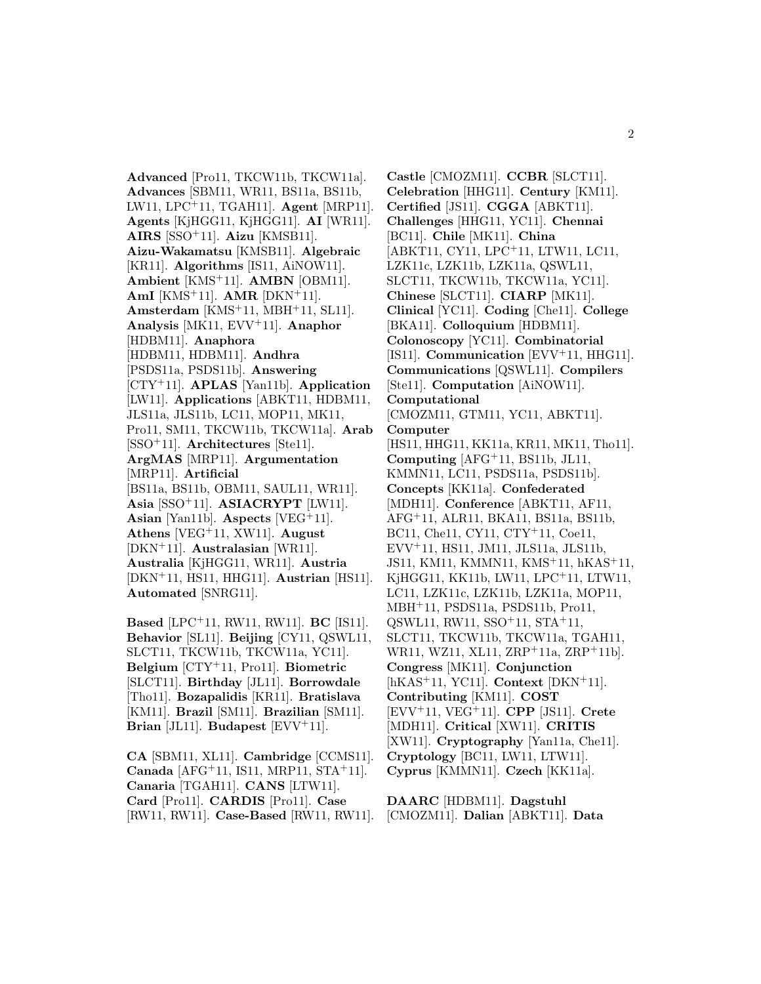**Advanced** [Pro11, TKCW11b, TKCW11a]. **Advances** [SBM11, WR11, BS11a, BS11b, LW11, LPC<sup>+</sup>11, TGAH11]. **Agent** [MRP11]. **Agents** [KjHGG11, KjHGG11]. **AI** [WR11]. **AIRS** [SSO<sup>+</sup>11]. **Aizu** [KMSB11]. **Aizu-Wakamatsu** [KMSB11]. **Algebraic** [KR11]. **Algorithms** [IS11, AiNOW11]. **Ambient** [KMS<sup>+</sup>11]. **AMBN** [OBM11]. **AmI** [KMS<sup>+</sup>11]. **AMR** [DKN<sup>+</sup>11]. **Amsterdam** [KMS<sup>+</sup>11, MBH<sup>+</sup>11, SL11]. **Analysis** [MK11, EVV<sup>+</sup>11]. **Anaphor** [HDBM11]. **Anaphora** [HDBM11, HDBM11]. **Andhra** [PSDS11a, PSDS11b]. **Answering** [CTY<sup>+</sup>11]. **APLAS** [Yan11b]. **Application** [LW11]. **Applications** [ABKT11, HDBM11, JLS11a, JLS11b, LC11, MOP11, MK11, Pro11, SM11, TKCW11b, TKCW11a]. **Arab** [SSO<sup>+</sup>11]. **Architectures** [Ste11]. **ArgMAS** [MRP11]. **Argumentation** [MRP11]. **Artificial** [BS11a, BS11b, OBM11, SAUL11, WR11]. **Asia** [SSO<sup>+</sup>11]. **ASIACRYPT** [LW11]. **Asian** [Yan11b]. **Aspects** [VEG<sup>+</sup>11]. **Athens** [VEG<sup>+</sup>11, XW11]. **August** [DKN<sup>+</sup>11]. **Australasian** [WR11]. **Australia** [KjHGG11, WR11]. **Austria** [DKN<sup>+</sup>11, HS11, HHG11]. **Austrian** [HS11]. **Automated** [SNRG11].

**Based** [LPC<sup>+</sup>11, RW11, RW11]. **BC** [IS11]. **Behavior** [SL11]. **Beijing** [CY11, QSWL11, SLCT11, TKCW11b, TKCW11a, YC11]. **Belgium** [CTY<sup>+</sup>11, Pro11]. **Biometric** [SLCT11]. **Birthday** [JL11]. **Borrowdale** [Tho11]. **Bozapalidis** [KR11]. **Bratislava** [KM11]. **Brazil** [SM11]. **Brazilian** [SM11]. **Brian** [JL11]. **Budapest** [EVV<sup>+</sup>11].

**CA** [SBM11, XL11]. **Cambridge** [CCMS11]. **Canada** [AFG<sup>+</sup>11, IS11, MRP11, STA<sup>+</sup>11]. **Canaria** [TGAH11]. **CANS** [LTW11]. **Card** [Pro11]. **CARDIS** [Pro11]. **Case** [RW11, RW11]. **Case-Based** [RW11, RW11].

**Castle** [CMOZM11]. **CCBR** [SLCT11]. **Celebration** [HHG11]. **Century** [KM11]. **Certified** [JS11]. **CGGA** [ABKT11]. **Challenges** [HHG11, YC11]. **Chennai** [BC11]. **Chile** [MK11]. **China** [ABKT11, CY11, LPC<sup>+</sup>11, LTW11, LC11, LZK11c, LZK11b, LZK11a, QSWL11, SLCT11, TKCW11b, TKCW11a, YC11]. **Chinese** [SLCT11]. **CIARP** [MK11]. **Clinical** [YC11]. **Coding** [Che11]. **College** [BKA11]. **Colloquium** [HDBM11]. **Colonoscopy** [YC11]. **Combinatorial** [IS11]. **Communication** [EVV<sup>+</sup>11, HHG11]. **Communications** [QSWL11]. **Compilers** [Ste11]. **Computation** [AiNOW11]. **Computational** [CMOZM11, GTM11, YC11, ABKT11]. **Computer** [HS11, HHG11, KK11a, KR11, MK11, Tho11]. **Computing** [AFG<sup>+</sup>11, BS11b, JL11, KMMN11, LC11, PSDS11a, PSDS11b]. **Concepts** [KK11a]. **Confederated** [MDH11]. **Conference** [ABKT11, AF11, AFG<sup>+</sup>11, ALR11, BKA11, BS11a, BS11b, BC11, Che11, CY11, CTY<sup>+</sup>11, Coe11, EVV<sup>+</sup>11, HS11, JM11, JLS11a, JLS11b, JS11, KM11, KMMN11, KMS<sup>+</sup>11, hKAS<sup>+</sup>11, KjHGG11, KK11b, LW11, LPC<sup>+</sup>11, LTW11, LC11, LZK11c, LZK11b, LZK11a, MOP11, MBH<sup>+</sup>11, PSDS11a, PSDS11b, Pro11, QSWL11, RW11, SSO<sup>+</sup>11, STA<sup>+</sup>11, SLCT11, TKCW11b, TKCW11a, TGAH11, WR11, WZ11, XL11, ZRP+11a, ZRP+11b. **Congress** [MK11]. **Conjunction** [hKAS<sup>+</sup>11, YC11]. **Context** [DKN<sup>+</sup>11]. **Contributing** [KM11]. **COST** [EVV<sup>+</sup>11, VEG<sup>+</sup>11]. **CPP** [JS11]. **Crete** [MDH11]. **Critical** [XW11]. **CRITIS** [XW11]. **Cryptography** [Yan11a, Che11]. **Cryptology** [BC11, LW11, LTW11]. **Cyprus** [KMMN11]. **Czech** [KK11a].

**DAARC** [HDBM11]. **Dagstuhl** [CMOZM11]. **Dalian** [ABKT11]. **Data**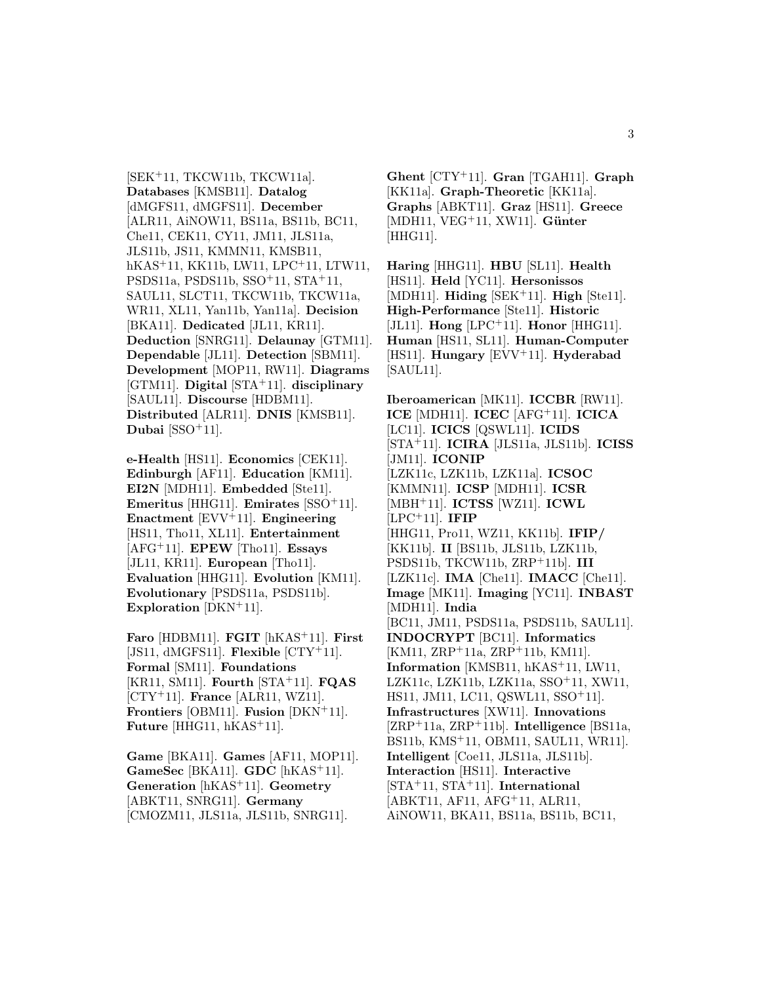[SEK<sup>+</sup>11, TKCW11b, TKCW11a]. **Databases** [KMSB11]. **Datalog** [dMGFS11, dMGFS11]. **December** [ALR11, AiNOW11, BS11a, BS11b, BC11, Che11, CEK11, CY11, JM11, JLS11a, JLS11b, JS11, KMMN11, KMSB11, hKAS<sup>+</sup>11, KK11b, LW11, LPC<sup>+</sup>11, LTW11, PSDS11a, PSDS11b, SSO<sup>+</sup>11, STA<sup>+</sup>11, SAUL11, SLCT11, TKCW11b, TKCW11a, WR11, XL11, Yan11b, Yan11a]. **Decision** [BKA11]. **Dedicated** [JL11, KR11]. **Deduction** [SNRG11]. **Delaunay** [GTM11]. **Dependable** [JL11]. **Detection** [SBM11]. **Development** [MOP11, RW11]. **Diagrams** [GTM11]. **Digital** [STA<sup>+</sup>11]. **disciplinary** [SAUL11]. **Discourse** [HDBM11]. **Distributed** [ALR11]. **DNIS** [KMSB11]. **Dubai** [SSO<sup>+</sup>11].

**e-Health** [HS11]. **Economics** [CEK11]. **Edinburgh** [AF11]. **Education** [KM11]. **EI2N** [MDH11]. **Embedded** [Ste11]. **Emeritus** [HHG11]. **Emirates** [SSO<sup>+</sup>11]. **Enactment** [EVV<sup>+</sup>11]. **Engineering** [HS11, Tho11, XL11]. **Entertainment** [AFG<sup>+</sup>11]. **EPEW** [Tho11]. **Essays** [JL11, KR11]. **European** [Tho11]. **Evaluation** [HHG11]. **Evolution** [KM11]. **Evolutionary** [PSDS11a, PSDS11b]. **Exploration** [DKN<sup>+</sup>11].

**Faro** [HDBM11]. **FGIT** [hKAS<sup>+</sup>11]. **First** [JS11, dMGFS11]. **Flexible** [CTY<sup>+</sup>11]. **Formal** [SM11]. **Foundations** [KR11, SM11]. **Fourth** [STA<sup>+</sup>11]. **FQAS** [CTY<sup>+</sup>11]. **France** [ALR11, WZ11]. **Frontiers** [OBM11]. **Fusion** [DKN<sup>+</sup>11]. **Future** [HHG11, hKAS<sup>+</sup>11].

**Game** [BKA11]. **Games** [AF11, MOP11]. **GameSec** [BKA11]. **GDC** [hKAS<sup>+</sup>11]. **Generation** [hKAS<sup>+</sup>11]. **Geometry** [ABKT11, SNRG11]. **Germany** [CMOZM11, JLS11a, JLS11b, SNRG11].

**Ghent** [CTY<sup>+</sup>11]. **Gran** [TGAH11]. **Graph** [KK11a]. **Graph-Theoretic** [KK11a]. **Graphs** [ABKT11]. **Graz** [HS11]. **Greece** [MDH11, VEG<sup>+</sup>11, XW11]. **Günter** [HHG11].

**Haring** [HHG11]. **HBU** [SL11]. **Health** [HS11]. **Held** [YC11]. **Hersonissos** [MDH11]. **Hiding** [SEK<sup>+</sup>11]. **High** [Ste11]. **High-Performance** [Ste11]. **Historic** [JL11]. **Hong** [LPC<sup>+</sup>11]. **Honor** [HHG11]. **Human** [HS11, SL11]. **Human-Computer** [HS11]. **Hungary** [EVV<sup>+</sup>11]. **Hyderabad** [SAUL11].

**Iberoamerican** [MK11]. **ICCBR** [RW11]. **ICE** [MDH11]. **ICEC** [AFG<sup>+</sup>11]. **ICICA** [LC11]. **ICICS** [QSWL11]. **ICIDS** [STA<sup>+</sup>11]. **ICIRA** [JLS11a, JLS11b]. **ICISS** [JM11]. **ICONIP** [LZK11c, LZK11b, LZK11a]. **ICSOC** [KMMN11]. **ICSP** [MDH11]. **ICSR** [MBH<sup>+</sup>11]. **ICTSS** [WZ11]. **ICWL** [LPC<sup>+</sup>11]. **IFIP** [HHG11, Pro11, WZ11, KK11b]. **IFIP/** [KK11b]. **II** [BS11b, JLS11b, LZK11b, PSDS11b, TKCW11b, ZRP<sup>+</sup>11b]. **III** [LZK11c]. **IMA** [Che11]. **IMACC** [Che11]. **Image** [MK11]. **Imaging** [YC11]. **INBAST** [MDH11]. **India** [BC11, JM11, PSDS11a, PSDS11b, SAUL11]. **INDOCRYPT** [BC11]. **Informatics** [KM11, ZRP<sup>+</sup>11a, ZRP<sup>+</sup>11b, KM11]. **Information** [KMSB11, hKAS<sup>+</sup>11, LW11, LZK11c, LZK11b, LZK11a, SSO<sup>+</sup>11, XW11, HS11, JM11, LC11, QSWL11, SSO<sup>+</sup>11]. **Infrastructures** [XW11]. **Innovations** [ZRP<sup>+</sup>11a, ZRP<sup>+</sup>11b]. **Intelligence** [BS11a, BS11b, KMS<sup>+</sup>11, OBM11, SAUL11, WR11]. **Intelligent** [Coe11, JLS11a, JLS11b]. **Interaction** [HS11]. **Interactive** [STA<sup>+</sup>11, STA<sup>+</sup>11]. **International** [ABKT11, AF11, AFG<sup>+</sup>11, ALR11, AiNOW11, BKA11, BS11a, BS11b, BC11,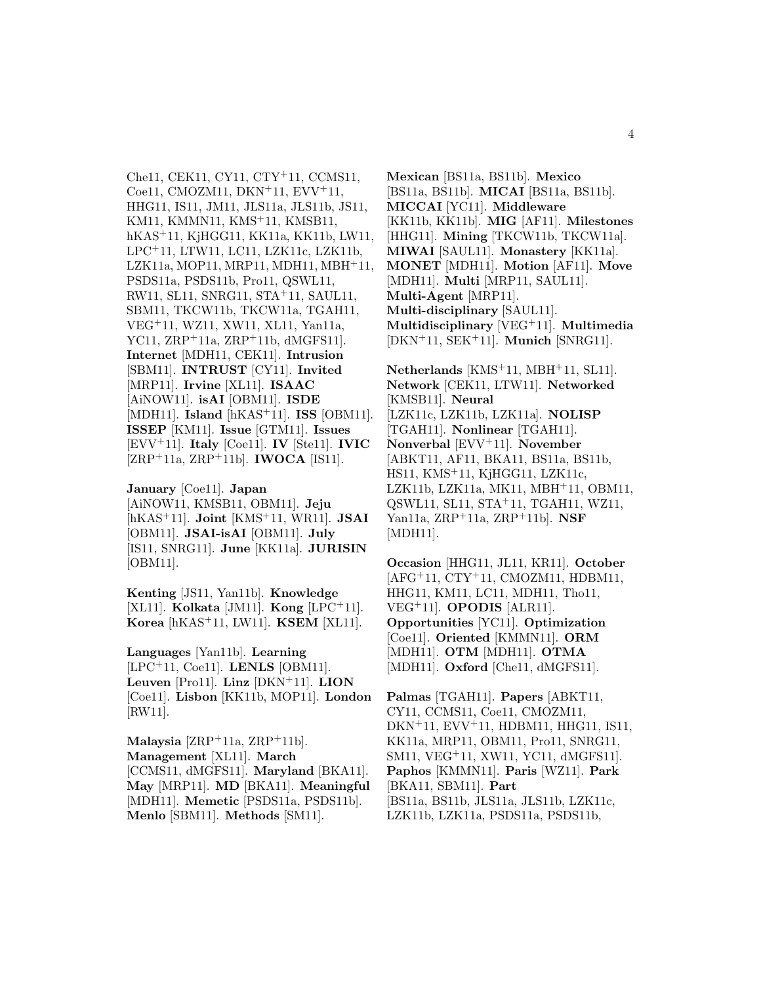Che11, CEK11, CY11, CTY<sup>+</sup>11, CCMS11, Coe11, CMOZM11, DKN<sup>+</sup>11, EVV<sup>+</sup>11, HHG11, IS11, JM11, JLS11a, JLS11b, JS11, KM11, KMMN11, KMS<sup>+</sup>11, KMSB11, hKAS<sup>+</sup>11, KjHGG11, KK11a, KK11b, LW11, LPC<sup>+</sup>11, LTW11, LC11, LZK11c, LZK11b, LZK11a, MOP11, MRP11, MDH11, MBH<sup>+</sup>11, PSDS11a, PSDS11b, Pro11, QSWL11, RW11, SL11, SNRG11, STA<sup>+</sup>11, SAUL11, SBM11, TKCW11b, TKCW11a, TGAH11, VEG<sup>+</sup>11, WZ11, XW11, XL11, Yan11a, YC11, ZRP<sup>+</sup>11a, ZRP<sup>+</sup>11b, dMGFS11]. **Internet** [MDH11, CEK11]. **Intrusion** [SBM11]. **INTRUST** [CY11]. **Invited** [MRP11]. **Irvine** [XL11]. **ISAAC** [AiNOW11]. **isAI** [OBM11]. **ISDE** [MDH11]. **Island** [hKAS<sup>+</sup>11]. **ISS** [OBM11]. **ISSEP** [KM11]. **Issue** [GTM11]. **Issues** [EVV<sup>+</sup>11]. **Italy** [Coe11]. **IV** [Ste11]. **IVIC** [ZRP<sup>+</sup>11a, ZRP<sup>+</sup>11b]. **IWOCA** [IS11].

**January** [Coe11]. **Japan** [AiNOW11, KMSB11, OBM11]. **Jeju** [hKAS<sup>+</sup>11]. **Joint** [KMS<sup>+</sup>11, WR11]. **JSAI** [OBM11]. **JSAI-isAI** [OBM11]. **July** [IS11, SNRG11]. **June** [KK11a]. **JURISIN** [OBM11].

**Kenting** [JS11, Yan11b]. **Knowledge** [XL11]. **Kolkata** [JM11]. **Kong** [LPC<sup>+</sup>11]. **Korea** [hKAS<sup>+</sup>11, LW11]. **KSEM** [XL11].

**Languages** [Yan11b]. **Learning** [LPC<sup>+</sup>11, Coe11]. **LENLS** [OBM11]. **Leuven** [Pro11]. **Linz** [DKN<sup>+</sup>11]. **LION** [Coe11]. **Lisbon** [KK11b, MOP11]. **London** [RW11].

**Malaysia** [ZRP<sup>+</sup>11a, ZRP<sup>+</sup>11b]. **Management** [XL11]. **March** [CCMS11, dMGFS11]. **Maryland** [BKA11]. **May** [MRP11]. **MD** [BKA11]. **Meaningful** [MDH11]. **Memetic** [PSDS11a, PSDS11b]. **Menlo** [SBM11]. **Methods** [SM11].

**Mexican** [BS11a, BS11b]. **Mexico** [BS11a, BS11b]. **MICAI** [BS11a, BS11b]. **MICCAI** [YC11]. **Middleware** [KK11b, KK11b]. **MIG** [AF11]. **Milestones** [HHG11]. **Mining** [TKCW11b, TKCW11a]. **MIWAI** [SAUL11]. **Monastery** [KK11a]. **MONET** [MDH11]. **Motion** [AF11]. **Move** [MDH11]. **Multi** [MRP11, SAUL11]. **Multi-Agent** [MRP11]. **Multi-disciplinary** [SAUL11]. **Multidisciplinary** [VEG<sup>+</sup>11]. **Multimedia** [DKN<sup>+</sup>11, SEK<sup>+</sup>11]. **Munich** [SNRG11].

**Netherlands** [KMS<sup>+</sup>11, MBH<sup>+</sup>11, SL11]. **Network** [CEK11, LTW11]. **Networked** [KMSB11]. **Neural** [LZK11c, LZK11b, LZK11a]. **NOLISP** [TGAH11]. **Nonlinear** [TGAH11]. **Nonverbal** [EVV<sup>+</sup>11]. **November** [ABKT11, AF11, BKA11, BS11a, BS11b, HS11, KMS<sup>+</sup>11, KjHGG11, LZK11c, LZK11b, LZK11a, MK11, MBH<sup>+</sup>11, OBM11, QSWL11, SL11, STA<sup>+</sup>11, TGAH11, WZ11, Yan11a, ZRP<sup>+</sup>11a, ZRP<sup>+</sup>11b]. **NSF** [MDH11].

**Occasion** [HHG11, JL11, KR11]. **October** [AFG<sup>+</sup>11, CTY<sup>+</sup>11, CMOZM11, HDBM11, HHG11, KM11, LC11, MDH11, Tho11, VEG<sup>+</sup>11]. **OPODIS** [ALR11]. **Opportunities** [YC11]. **Optimization** [Coe11]. **Oriented** [KMMN11]. **ORM** [MDH11]. **OTM** [MDH11]. **OTMA** [MDH11]. **Oxford** [Che11, dMGFS11].

**Palmas** [TGAH11]. **Papers** [ABKT11, CY11, CCMS11, Coe11, CMOZM11, DKN<sup>+</sup>11, EVV<sup>+</sup>11, HDBM11, HHG11, IS11, KK11a, MRP11, OBM11, Pro11, SNRG11, SM11, VEG<sup>+</sup>11, XW11, YC11, dMGFS11]. **Paphos** [KMMN11]. **Paris** [WZ11]. **Park** [BKA11, SBM11]. **Part** [BS11a, BS11b, JLS11a, JLS11b, LZK11c, LZK11b, LZK11a, PSDS11a, PSDS11b,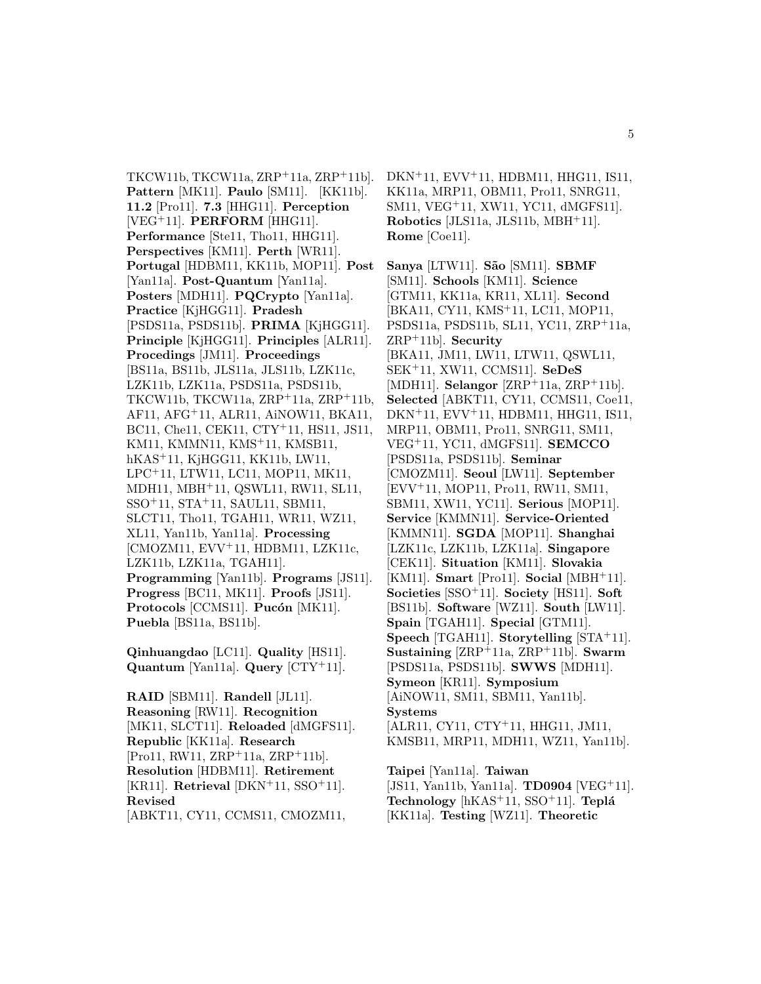TKCW11b, TKCW11a, ZRP<sup>+</sup>11a, ZRP<sup>+</sup>11b]. **Pattern** [MK11]. **Paulo** [SM11]. [KK11b]. **11.2** [Pro11]. **7.3** [HHG11]. **Perception** [VEG<sup>+</sup>11]. **PERFORM** [HHG11]. **Performance** [Ste11, Tho11, HHG11]. **Perspectives** [KM11]. **Perth** [WR11]. **Portugal** [HDBM11, KK11b, MOP11]. **Post** [Yan11a]. **Post-Quantum** [Yan11a]. **Posters** [MDH11]. **PQCrypto** [Yan11a]. **Practice** [KjHGG11]. **Pradesh** [PSDS11a, PSDS11b]. **PRIMA** [KjHGG11]. **Principle** [KjHGG11]. **Principles** [ALR11]. **Procedings** [JM11]. **Proceedings** [BS11a, BS11b, JLS11a, JLS11b, LZK11c, LZK11b, LZK11a, PSDS11a, PSDS11b, TKCW11b, TKCW11a, ZRP<sup>+</sup>11a, ZRP<sup>+</sup>11b, AF11, AFG<sup>+</sup>11, ALR11, AiNOW11, BKA11, BC11, Che11, CEK11, CTY<sup>+</sup>11, HS11, JS11, KM11, KMMN11, KMS<sup>+</sup>11, KMSB11, hKAS<sup>+</sup>11, KjHGG11, KK11b, LW11, LPC<sup>+</sup>11, LTW11, LC11, MOP11, MK11, MDH11, MBH<sup>+</sup>11, QSWL11, RW11, SL11, SSO<sup>+</sup>11, STA<sup>+</sup>11, SAUL11, SBM11, SLCT11, Tho11, TGAH11, WR11, WZ11, XL11, Yan11b, Yan11a]. **Processing** [CMOZM11, EVV<sup>+</sup>11, HDBM11, LZK11c, LZK11b, LZK11a, TGAH11]. **Programming** [Yan11b]. **Programs** [JS11]. **Progress** [BC11, MK11]. **Proofs** [JS11]. Protocols [CCMS11]. Pucón [MK11]. **Puebla** [BS11a, BS11b].

**Qinhuangdao** [LC11]. **Quality** [HS11]. **Quantum** [Yan11a]. **Query** [CTY<sup>+</sup>11].

**RAID** [SBM11]. **Randell** [JL11]. **Reasoning** [RW11]. **Recognition** [MK11, SLCT11]. **Reloaded** [dMGFS11]. **Republic** [KK11a]. **Research** [Pro11, RW11, ZRP<sup>+</sup>11a, ZRP<sup>+</sup>11b]. **Resolution** [HDBM11]. **Retirement** [KR11]. **Retrieval** [DKN<sup>+</sup>11, SSO<sup>+</sup>11]. **Revised** [ABKT11, CY11, CCMS11, CMOZM11,

DKN<sup>+</sup>11, EVV<sup>+</sup>11, HDBM11, HHG11, IS11, KK11a, MRP11, OBM11, Pro11, SNRG11, SM11, VEG<sup>+</sup>11, XW11, YC11, dMGFS11]. **Robotics** [JLS11a, JLS11b, MBH<sup>+</sup>11]. **Rome** [Coe11].

**Sanya** [LTW11]. **S˜ao** [SM11]. **SBMF** [SM11]. **Schools** [KM11]. **Science** [GTM11, KK11a, KR11, XL11]. **Second** [BKA11, CY11, KMS<sup>+</sup>11, LC11, MOP11, PSDS11a, PSDS11b, SL11, YC11, ZRP<sup>+</sup>11a, ZRP<sup>+</sup>11b]. **Security** [BKA11, JM11, LW11, LTW11, QSWL11, SEK<sup>+</sup>11, XW11, CCMS11]. **SeDeS** [MDH11]. **Selangor** [ZRP<sup>+</sup>11a, ZRP<sup>+</sup>11b]. **Selected** [ABKT11, CY11, CCMS11, Coe11, DKN<sup>+</sup>11, EVV<sup>+</sup>11, HDBM11, HHG11, IS11, MRP11, OBM11, Pro11, SNRG11, SM11, VEG<sup>+</sup>11, YC11, dMGFS11]. **SEMCCO** [PSDS11a, PSDS11b]. **Seminar** [CMOZM11]. **Seoul** [LW11]. **September** [EVV<sup>+</sup>11, MOP11, Pro11, RW11, SM11, SBM11, XW11, YC11]. **Serious** [MOP11]. **Service** [KMMN11]. **Service-Oriented** [KMMN11]. **SGDA** [MOP11]. **Shanghai** [LZK11c, LZK11b, LZK11a]. **Singapore** [CEK11]. **Situation** [KM11]. **Slovakia** [KM11]. **Smart** [Pro11]. **Social** [MBH<sup>+</sup>11]. **Societies** [SSO<sup>+</sup>11]. **Society** [HS11]. **Soft** [BS11b]. **Software** [WZ11]. **South** [LW11]. **Spain** [TGAH11]. **Special** [GTM11]. **Speech** [TGAH11]. **Storytelling** [STA<sup>+</sup>11]. **Sustaining** [ZRP<sup>+</sup>11a, ZRP<sup>+</sup>11b]. **Swarm** [PSDS11a, PSDS11b]. **SWWS** [MDH11]. **Symeon** [KR11]. **Symposium** [AiNOW11, SM11, SBM11, Yan11b]. **Systems** [ALR11, CY11, CTY<sup>+</sup>11, HHG11, JM11, KMSB11, MRP11, MDH11, WZ11, Yan11b].

**Taipei** [Yan11a]. **Taiwan** [JS11, Yan11b, Yan11a]. **TD0904** [VEG<sup>+</sup>11]. **Technology** [hKAS<sup>+</sup>11, SSO<sup>+</sup>11]. **Tepl´a** [KK11a]. **Testing** [WZ11]. **Theoretic**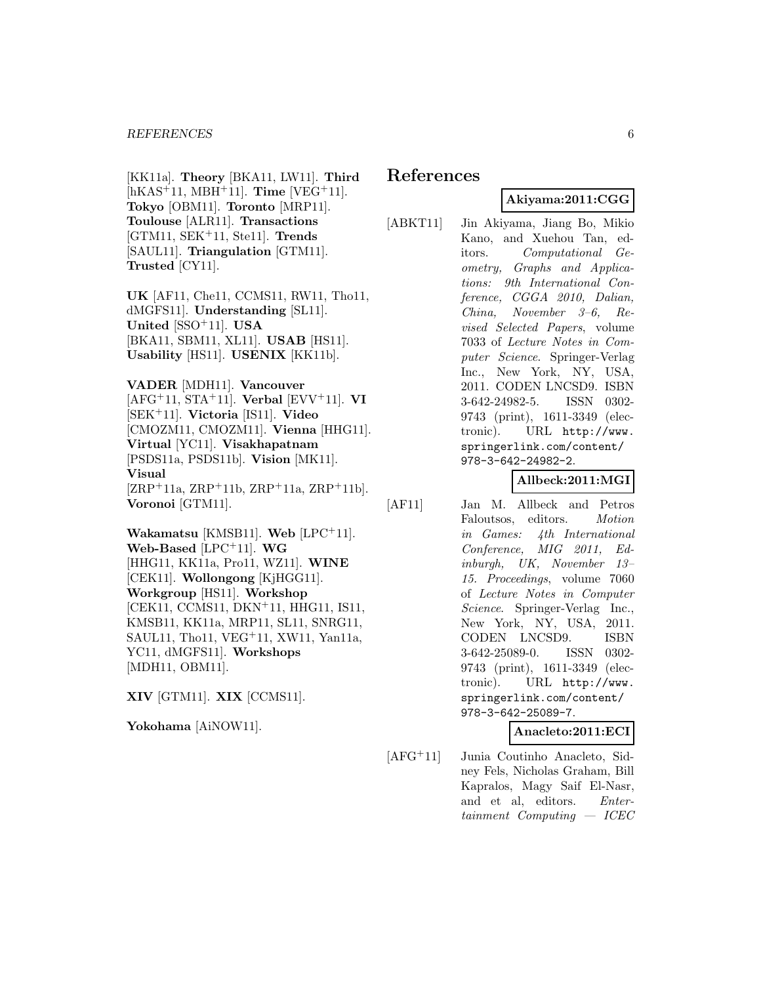[KK11a]. **Theory** [BKA11, LW11]. **Third** [hKAS<sup>+</sup>11, MBH<sup>+</sup>11]. **Time** [VEG<sup>+</sup>11]. **Tokyo** [OBM11]. **Toronto** [MRP11]. **Toulouse** [ALR11]. **Transactions** [GTM11, SEK<sup>+</sup>11, Ste11]. **Trends** [SAUL11]. **Triangulation** [GTM11]. **Trusted** [CY11].

**UK** [AF11, Che11, CCMS11, RW11, Tho11, dMGFS11]. **Understanding** [SL11]. **United** [SSO<sup>+</sup>11]. **USA** [BKA11, SBM11, XL11]. **USAB** [HS11]. **Usability** [HS11]. **USENIX** [KK11b].

**VADER** [MDH11]. **Vancouver** [AFG<sup>+</sup>11, STA<sup>+</sup>11]. **Verbal** [EVV<sup>+</sup>11]. **VI** [SEK<sup>+</sup>11]. **Victoria** [IS11]. **Video** [CMOZM11, CMOZM11]. **Vienna** [HHG11]. **Virtual** [YC11]. **Visakhapatnam** [PSDS11a, PSDS11b]. **Vision** [MK11]. **Visual**  $[ZRP^+11a, ZRP^+11b, ZRP^+11a, ZRP^+11b].$ **Voronoi** [GTM11].

**Wakamatsu** [KMSB11]. **Web** [LPC<sup>+</sup>11]. **Web-Based** [LPC<sup>+</sup>11]. **WG** [HHG11, KK11a, Pro11, WZ11]. **WINE** [CEK11]. **Wollongong** [KjHGG11]. **Workgroup** [HS11]. **Workshop** [CEK11, CCMS11, DKN<sup>+</sup>11, HHG11, IS11, KMSB11, KK11a, MRP11, SL11, SNRG11, SAUL11, Tho11, VEG<sup>+</sup>11, XW11, Yan11a, YC11, dMGFS11]. **Workshops** [MDH11, OBM11].

**XIV** [GTM11]. **XIX** [CCMS11].

**Yokohama** [AiNOW11].

# **References**

# **Akiyama:2011:CGG**

[ABKT11] Jin Akiyama, Jiang Bo, Mikio Kano, and Xuehou Tan, editors. Computational Geometry, Graphs and Applications: 9th International Conference, CGGA 2010, Dalian, China, November 3–6, Revised Selected Papers, volume 7033 of Lecture Notes in Computer Science. Springer-Verlag Inc., New York, NY, USA, 2011. CODEN LNCSD9. ISBN 3-642-24982-5. ISSN 0302- 9743 (print), 1611-3349 (electronic). URL http://www. springerlink.com/content/ 978-3-642-24982-2.

## **Allbeck:2011:MGI**

[AF11] Jan M. Allbeck and Petros Faloutsos, editors. Motion in Games: 4th International Conference, MIG 2011, Edinburgh, UK, November 13– 15. Proceedings, volume 7060 of Lecture Notes in Computer Science. Springer-Verlag Inc., New York, NY, USA, 2011. CODEN LNCSD9. ISBN 3-642-25089-0. ISSN 0302- 9743 (print), 1611-3349 (electronic). URL http://www. springerlink.com/content/ 978-3-642-25089-7.

### **Anacleto:2011:ECI**

[AFG<sup>+</sup>11] Junia Coutinho Anacleto, Sidney Fels, Nicholas Graham, Bill Kapralos, Magy Saif El-Nasr, and et al, editors. Entertainment Computing — ICEC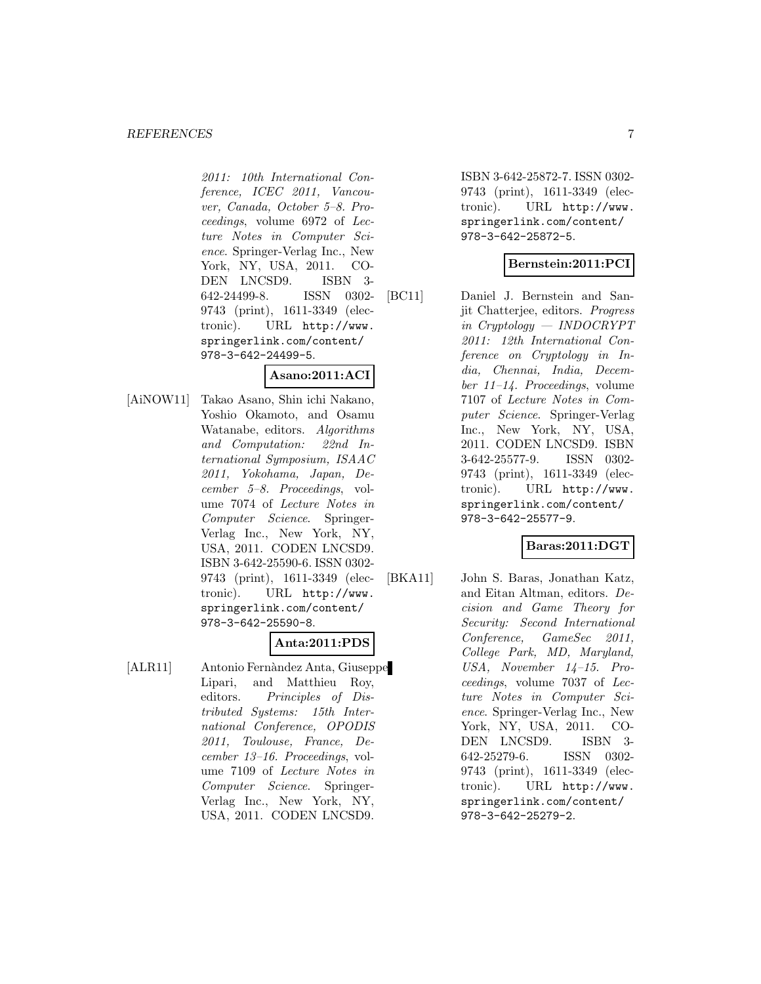#### *REFERENCES* 7

2011: 10th International Conference, ICEC 2011, Vancouver, Canada, October 5–8. Proceedings, volume 6972 of Lecture Notes in Computer Science. Springer-Verlag Inc., New York, NY, USA, 2011. CO-DEN LNCSD9. ISBN 3- 642-24499-8. ISSN 0302- 9743 (print), 1611-3349 (electronic). URL http://www. springerlink.com/content/ 978-3-642-24499-5.

#### **Asano:2011:ACI**

[AiNOW11] Takao Asano, Shin ichi Nakano, Yoshio Okamoto, and Osamu Watanabe, editors. Algorithms and Computation: 22nd International Symposium, ISAAC 2011, Yokohama, Japan, December 5–8. Proceedings, volume 7074 of Lecture Notes in Computer Science. Springer-Verlag Inc., New York, NY, USA, 2011. CODEN LNCSD9. ISBN 3-642-25590-6. ISSN 0302- 9743 (print), 1611-3349 (electronic). URL http://www. springerlink.com/content/ 978-3-642-25590-8.

# **Anta:2011:PDS**

[ALR11] Antonio Fernàndez Anta, Giuseppe Lipari, and Matthieu Roy, editors. Principles of Distributed Systems: 15th International Conference, OPODIS 2011, Toulouse, France, December 13–16. Proceedings, volume 7109 of Lecture Notes in Computer Science. Springer-Verlag Inc., New York, NY, USA, 2011. CODEN LNCSD9.

ISBN 3-642-25872-7. ISSN 0302- 9743 (print), 1611-3349 (electronic). URL http://www. springerlink.com/content/ 978-3-642-25872-5.

#### **Bernstein:2011:PCI**

[BC11] Daniel J. Bernstein and Sanjit Chatterjee, editors. Progress in Cryptology — INDOCRYPT 2011: 12th International Conference on Cryptology in India, Chennai, India, December 11–14. Proceedings, volume 7107 of Lecture Notes in Computer Science. Springer-Verlag Inc., New York, NY, USA, 2011. CODEN LNCSD9. ISBN 3-642-25577-9. ISSN 0302- 9743 (print), 1611-3349 (electronic). URL http://www. springerlink.com/content/ 978-3-642-25577-9.

## **Baras:2011:DGT**

[BKA11] John S. Baras, Jonathan Katz, and Eitan Altman, editors. Decision and Game Theory for Security: Second International Conference, GameSec 2011, College Park, MD, Maryland, USA, November 14–15. Proceedings, volume 7037 of Lecture Notes in Computer Science. Springer-Verlag Inc., New York, NY, USA, 2011. CO-DEN LNCSD9. ISBN 3- 642-25279-6. ISSN 0302- 9743 (print), 1611-3349 (electronic). URL http://www. springerlink.com/content/ 978-3-642-25279-2.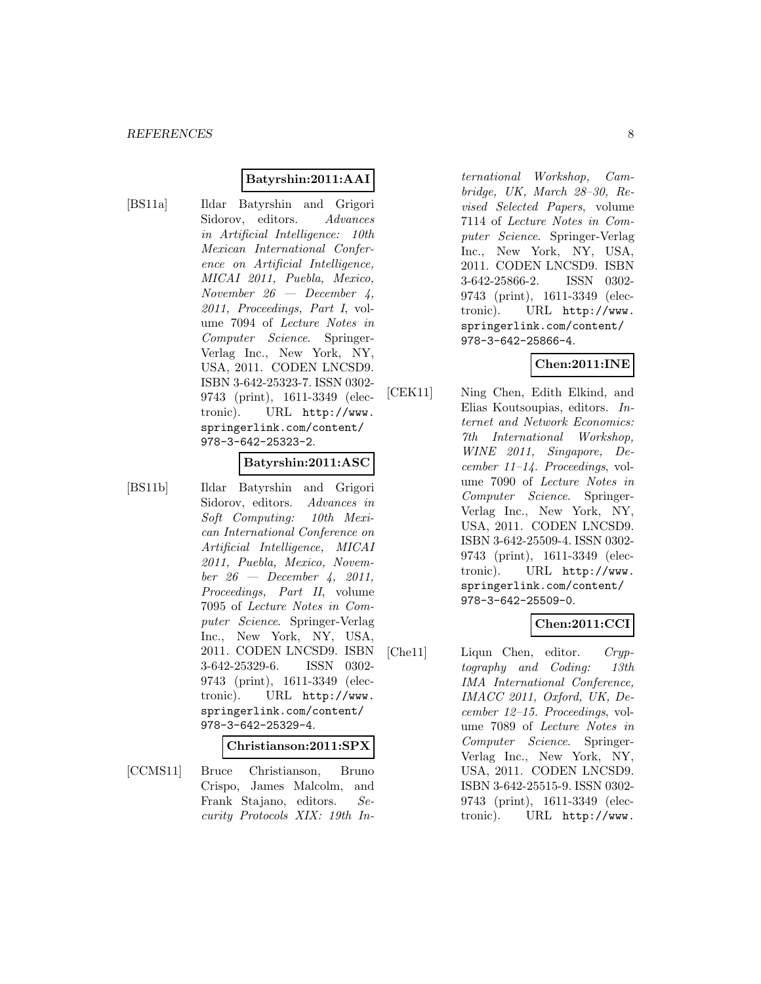#### **Batyrshin:2011:AAI**

[BS11a] Ildar Batyrshin and Grigori Sidorov, editors. Advances in Artificial Intelligence: 10th Mexican International Conference on Artificial Intelligence, MICAI 2011, Puebla, Mexico, November  $26$  — December 4, 2011, Proceedings, Part I, volume 7094 of Lecture Notes in Computer Science. Springer-Verlag Inc., New York, NY, USA, 2011. CODEN LNCSD9. ISBN 3-642-25323-7. ISSN 0302- 9743 (print), 1611-3349 (electronic). URL http://www. springerlink.com/content/ 978-3-642-25323-2.

#### **Batyrshin:2011:ASC**

- 
- [BS11b] Ildar Batyrshin and Grigori Sidorov, editors. Advances in Soft Computing: 10th Mexican International Conference on Artificial Intelligence, MICAI 2011, Puebla, Mexico, Novem $ber 26 - December 4, 2011,$ Proceedings, Part II, volume 7095 of Lecture Notes in Computer Science. Springer-Verlag Inc., New York, NY, USA, 2011. CODEN LNCSD9. ISBN 3-642-25329-6. ISSN 0302- 9743 (print), 1611-3349 (electronic). URL http://www. springerlink.com/content/ 978-3-642-25329-4.

#### **Christianson:2011:SPX**

[CCMS11] Bruce Christianson, Bruno Crispo, James Malcolm, and Frank Stajano, editors. Security Protocols XIX: 19th In-

ternational Workshop, Cambridge, UK, March 28–30, Revised Selected Papers, volume 7114 of Lecture Notes in Computer Science. Springer-Verlag Inc., New York, NY, USA, 2011. CODEN LNCSD9. ISBN 3-642-25866-2. ISSN 0302- 9743 (print), 1611-3349 (electronic). URL http://www. springerlink.com/content/ 978-3-642-25866-4.

# **Chen:2011:INE**

[CEK11] Ning Chen, Edith Elkind, and Elias Koutsoupias, editors. Internet and Network Economics: 7th International Workshop, WINE 2011, Singapore, December 11–14. Proceedings, volume 7090 of Lecture Notes in Computer Science. Springer-Verlag Inc., New York, NY, USA, 2011. CODEN LNCSD9. ISBN 3-642-25509-4. ISSN 0302- 9743 (print), 1611-3349 (electronic). URL http://www. springerlink.com/content/ 978-3-642-25509-0.

### **Chen:2011:CCI**

[Che11] Liqun Chen, editor. Cryptography and Coding: 13th IMA International Conference, IMACC 2011, Oxford, UK, December 12–15. Proceedings, volume 7089 of Lecture Notes in Computer Science. Springer-Verlag Inc., New York, NY, USA, 2011. CODEN LNCSD9. ISBN 3-642-25515-9. ISSN 0302- 9743 (print), 1611-3349 (electronic). URL http://www.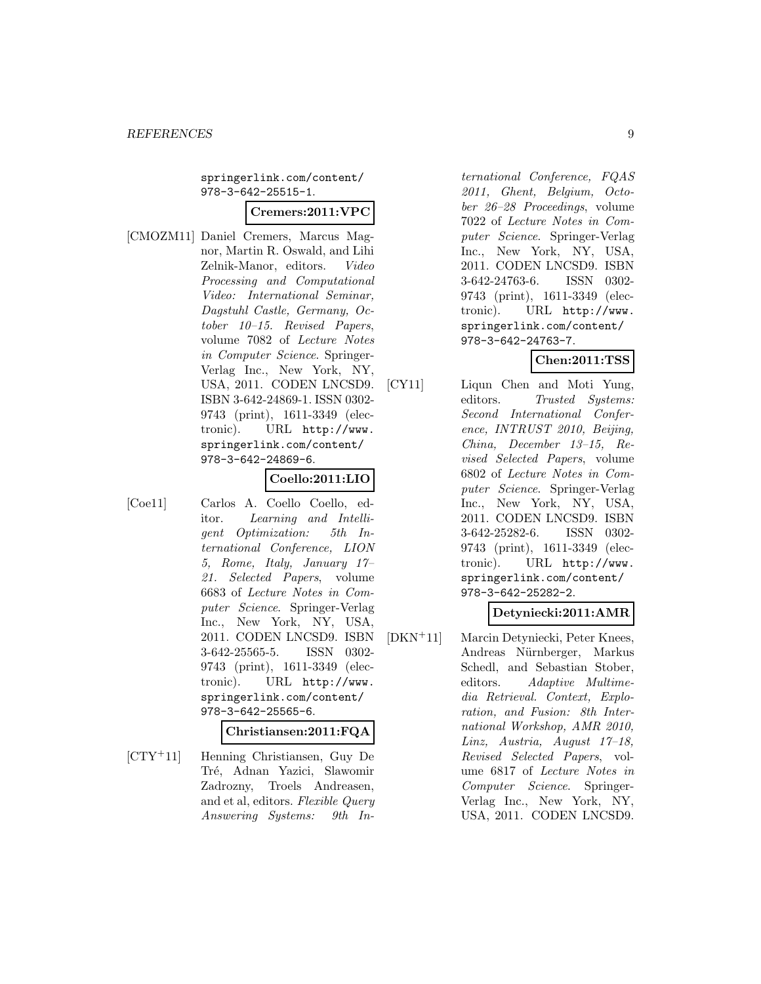springerlink.com/content/ 978-3-642-25515-1.

#### **Cremers:2011:VPC**

[CMOZM11] Daniel Cremers, Marcus Magnor, Martin R. Oswald, and Lihi Zelnik-Manor, editors. Video Processing and Computational Video: International Seminar, Dagstuhl Castle, Germany, October 10–15. Revised Papers, volume 7082 of Lecture Notes in Computer Science. Springer-Verlag Inc., New York, NY, USA, 2011. CODEN LNCSD9. ISBN 3-642-24869-1. ISSN 0302- 9743 (print), 1611-3349 (electronic). URL http://www. springerlink.com/content/ 978-3-642-24869-6.

#### **Coello:2011:LIO**

[Coe11] Carlos A. Coello Coello, editor. Learning and Intelligent Optimization: 5th International Conference, LION 5, Rome, Italy, January 17– 21. Selected Papers, volume 6683 of Lecture Notes in Computer Science. Springer-Verlag Inc., New York, NY, USA, 2011. CODEN LNCSD9. ISBN 3-642-25565-5. ISSN 0302- 9743 (print), 1611-3349 (electronic). URL http://www. springerlink.com/content/ 978-3-642-25565-6.

#### **Christiansen:2011:FQA**

[CTY<sup>+</sup>11] Henning Christiansen, Guy De Tré, Adnan Yazici, Slawomir Zadrozny, Troels Andreasen, and et al, editors. Flexible Query Answering Systems: 9th In-

ternational Conference, FQAS 2011, Ghent, Belgium, October 26–28 Proceedings, volume 7022 of Lecture Notes in Computer Science. Springer-Verlag Inc., New York, NY, USA, 2011. CODEN LNCSD9. ISBN 3-642-24763-6. ISSN 0302- 9743 (print), 1611-3349 (electronic). URL http://www. springerlink.com/content/ 978-3-642-24763-7.

# **Chen:2011:TSS**

[CY11] Liqun Chen and Moti Yung, editors. Trusted Systems: Second International Conference, INTRUST 2010, Beijing, China, December 13–15, Revised Selected Papers, volume 6802 of Lecture Notes in Computer Science. Springer-Verlag Inc., New York, NY, USA, 2011. CODEN LNCSD9. ISBN 3-642-25282-6. ISSN 0302- 9743 (print), 1611-3349 (electronic). URL http://www. springerlink.com/content/ 978-3-642-25282-2.

#### **Detyniecki:2011:AMR**

[DKN<sup>+</sup>11] Marcin Detyniecki, Peter Knees, Andreas Nürnberger, Markus Schedl, and Sebastian Stober, editors. Adaptive Multimedia Retrieval. Context, Exploration, and Fusion: 8th International Workshop, AMR 2010, Linz, Austria, August 17–18, Revised Selected Papers, volume 6817 of Lecture Notes in Computer Science. Springer-Verlag Inc., New York, NY, USA, 2011. CODEN LNCSD9.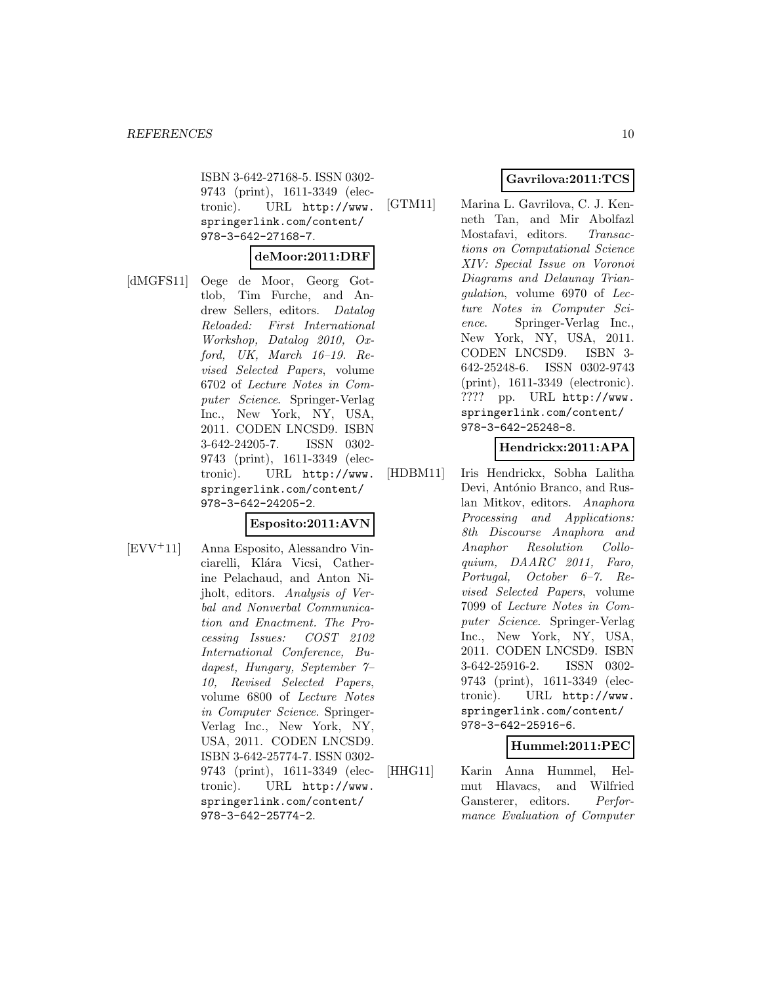ISBN 3-642-27168-5. ISSN 0302- 9743 (print), 1611-3349 (electronic). URL http://www. springerlink.com/content/ 978-3-642-27168-7.

#### **deMoor:2011:DRF**

[dMGFS11] Oege de Moor, Georg Gottlob, Tim Furche, and Andrew Sellers, editors. Datalog Reloaded: First International Workshop, Datalog 2010, Oxford, UK, March 16–19. Revised Selected Papers, volume 6702 of Lecture Notes in Computer Science. Springer-Verlag Inc., New York, NY, USA, 2011. CODEN LNCSD9. ISBN 3-642-24205-7. ISSN 0302- 9743 (print), 1611-3349 (electronic). URL http://www. springerlink.com/content/ 978-3-642-24205-2.

### **Esposito:2011:AVN**

[EVV<sup>+</sup>11] Anna Esposito, Alessandro Vinciarelli, Klára Vicsi, Catherine Pelachaud, and Anton Nijholt, editors. Analysis of Verbal and Nonverbal Communication and Enactment. The Processing Issues: COST 2102 International Conference, Budapest, Hungary, September 7– 10, Revised Selected Papers, volume 6800 of Lecture Notes in Computer Science. Springer-Verlag Inc., New York, NY, USA, 2011. CODEN LNCSD9. ISBN 3-642-25774-7. ISSN 0302- 9743 (print), 1611-3349 (electronic). URL http://www. springerlink.com/content/ 978-3-642-25774-2.

# **Gavrilova:2011:TCS**

[GTM11] Marina L. Gavrilova, C. J. Kenneth Tan, and Mir Abolfazl Mostafavi, editors. Transactions on Computational Science XIV: Special Issue on Voronoi Diagrams and Delaunay Triangulation, volume 6970 of Lecture Notes in Computer Science. Springer-Verlag Inc., New York, NY, USA, 2011. CODEN LNCSD9. ISBN 3- 642-25248-6. ISSN 0302-9743 (print), 1611-3349 (electronic). ???? pp. URL http://www. springerlink.com/content/ 978-3-642-25248-8.

### **Hendrickx:2011:APA**

[HDBM11] Iris Hendrickx, Sobha Lalitha Devi, António Branco, and Ruslan Mitkov, editors. Anaphora Processing and Applications: 8th Discourse Anaphora and Anaphor Resolution Colloquium, DAARC 2011, Faro, Portugal, October 6–7. Revised Selected Papers, volume 7099 of Lecture Notes in Computer Science. Springer-Verlag Inc., New York, NY, USA, 2011. CODEN LNCSD9. ISBN 3-642-25916-2. ISSN 0302- 9743 (print), 1611-3349 (electronic). URL http://www. springerlink.com/content/ 978-3-642-25916-6.

# **Hummel:2011:PEC**

[HHG11] Karin Anna Hummel, Helmut Hlavacs, and Wilfried Gansterer, editors. Performance Evaluation of Computer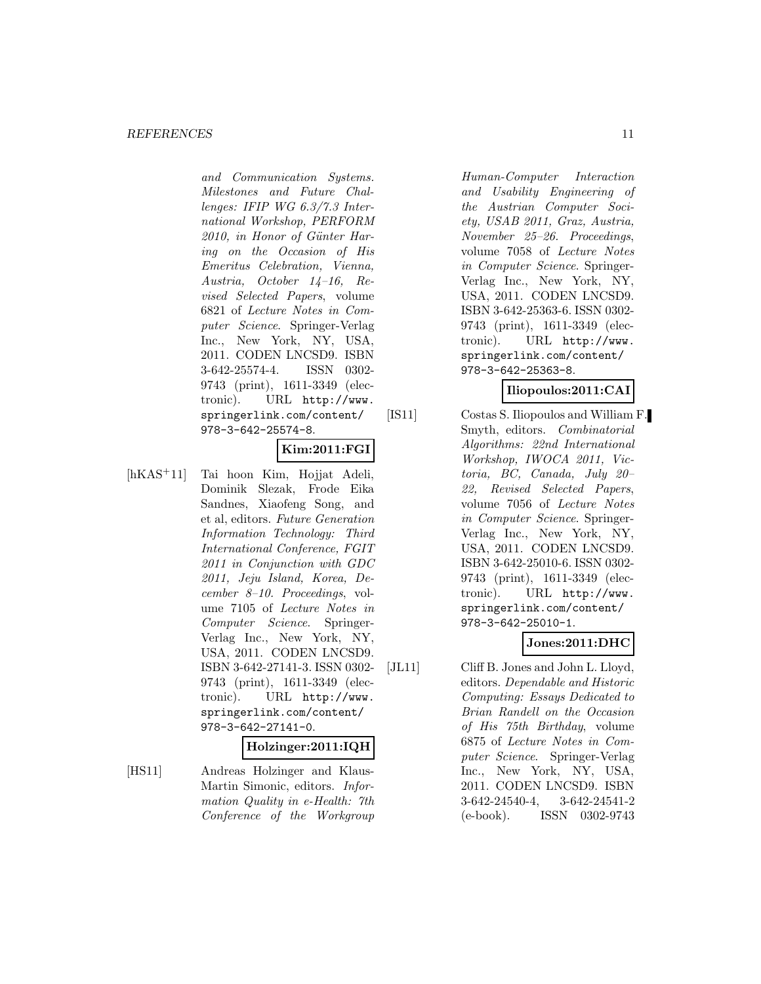and Communication Systems. Milestones and Future Challenges: IFIP WG 6.3/7.3 International Workshop, PERFORM 2010, in Honor of Günter Haring on the Occasion of His Emeritus Celebration, Vienna, Austria, October 14–16, Revised Selected Papers, volume 6821 of Lecture Notes in Computer Science. Springer-Verlag Inc., New York, NY, USA, 2011. CODEN LNCSD9. ISBN 3-642-25574-4. ISSN 0302- 9743 (print), 1611-3349 (electronic). URL http://www. springerlink.com/content/ 978-3-642-25574-8.

# **Kim:2011:FGI**

[hKAS<sup>+</sup>11] Tai hoon Kim, Hojjat Adeli, Dominik Slezak, Frode Eika Sandnes, Xiaofeng Song, and et al, editors. Future Generation Information Technology: Third International Conference, FGIT 2011 in Conjunction with GDC 2011, Jeju Island, Korea, December 8–10. Proceedings, volume 7105 of Lecture Notes in Computer Science. Springer-Verlag Inc., New York, NY, USA, 2011. CODEN LNCSD9. ISBN 3-642-27141-3. ISSN 0302- 9743 (print), 1611-3349 (electronic). URL http://www. springerlink.com/content/ 978-3-642-27141-0.

#### **Holzinger:2011:IQH**

[HS11] Andreas Holzinger and Klaus-Martin Simonic, editors. Information Quality in e-Health: 7th Conference of the Workgroup

Human-Computer Interaction and Usability Engineering of the Austrian Computer Society, USAB 2011, Graz, Austria, November 25–26. Proceedings, volume 7058 of Lecture Notes in Computer Science. Springer-Verlag Inc., New York, NY, USA, 2011. CODEN LNCSD9. ISBN 3-642-25363-6. ISSN 0302- 9743 (print), 1611-3349 (electronic). URL http://www. springerlink.com/content/ 978-3-642-25363-8.

#### **Iliopoulos:2011:CAI**

[IS11] Costas S. Iliopoulos and William F. Smyth, editors. Combinatorial Algorithms: 22nd International Workshop, IWOCA 2011, Victoria, BC, Canada, July 20– 22, Revised Selected Papers, volume 7056 of Lecture Notes in Computer Science. Springer-Verlag Inc., New York, NY, USA, 2011. CODEN LNCSD9. ISBN 3-642-25010-6. ISSN 0302- 9743 (print), 1611-3349 (electronic). URL http://www. springerlink.com/content/ 978-3-642-25010-1.

## **Jones:2011:DHC**

[JL11] Cliff B. Jones and John L. Lloyd, editors. Dependable and Historic Computing: Essays Dedicated to Brian Randell on the Occasion of His 75th Birthday, volume 6875 of Lecture Notes in Computer Science. Springer-Verlag Inc., New York, NY, USA, 2011. CODEN LNCSD9. ISBN 3-642-24540-4, 3-642-24541-2 (e-book). ISSN 0302-9743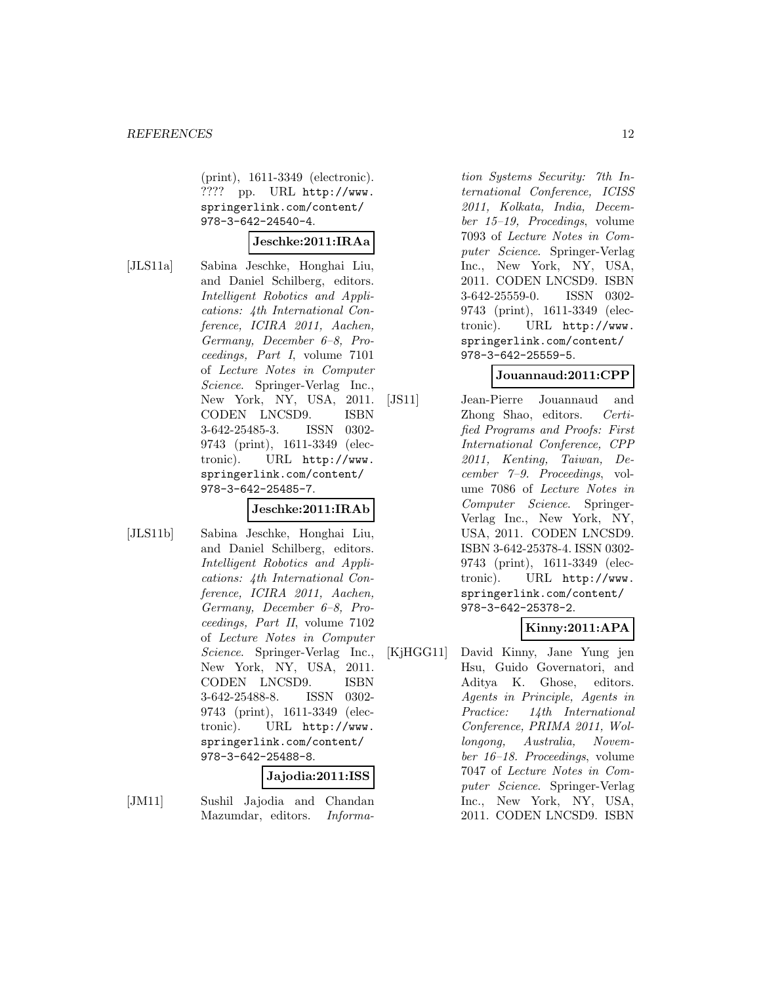(print), 1611-3349 (electronic). ???? pp. URL http://www. springerlink.com/content/ 978-3-642-24540-4.

#### **Jeschke:2011:IRAa**

[JLS11a] Sabina Jeschke, Honghai Liu, and Daniel Schilberg, editors. Intelligent Robotics and Applications: 4th International Conference, ICIRA 2011, Aachen, Germany, December 6–8, Proceedings, Part I, volume 7101 of Lecture Notes in Computer Science. Springer-Verlag Inc., New York, NY, USA, 2011. CODEN LNCSD9. ISBN 3-642-25485-3. ISSN 0302- 9743 (print), 1611-3349 (electronic). URL http://www. springerlink.com/content/ 978-3-642-25485-7.

### **Jeschke:2011:IRAb**

[JLS11b] Sabina Jeschke, Honghai Liu, and Daniel Schilberg, editors. Intelligent Robotics and Applications: 4th International Conference, ICIRA 2011, Aachen, Germany, December 6–8, Proceedings, Part II, volume 7102 of Lecture Notes in Computer Science. Springer-Verlag Inc., New York, NY, USA, 2011. CODEN LNCSD9. ISBN 3-642-25488-8. ISSN 0302- 9743 (print), 1611-3349 (electronic). URL http://www. springerlink.com/content/ 978-3-642-25488-8.

# **Jajodia:2011:ISS**

[JM11] Sushil Jajodia and Chandan Mazumdar, editors. Informa-

tion Systems Security: 7th International Conference, ICISS 2011, Kolkata, India, December 15–19, Procedings, volume 7093 of Lecture Notes in Computer Science. Springer-Verlag Inc., New York, NY, USA, 2011. CODEN LNCSD9. ISBN 3-642-25559-0. ISSN 0302- 9743 (print), 1611-3349 (electronic). URL http://www. springerlink.com/content/ 978-3-642-25559-5.

## **Jouannaud:2011:CPP**

[JS11] Jean-Pierre Jouannaud and Zhong Shao, editors. Certified Programs and Proofs: First International Conference, CPP 2011, Kenting, Taiwan, December 7–9. Proceedings, volume 7086 of Lecture Notes in Computer Science. Springer-Verlag Inc., New York, NY, USA, 2011. CODEN LNCSD9. ISBN 3-642-25378-4. ISSN 0302- 9743 (print), 1611-3349 (electronic). URL http://www. springerlink.com/content/ 978-3-642-25378-2.

### **Kinny:2011:APA**

[KjHGG11] David Kinny, Jane Yung jen Hsu, Guido Governatori, and Aditya K. Ghose, editors. Agents in Principle, Agents in Practice: 14th International Conference, PRIMA 2011, Wollongong, Australia, November 16–18. Proceedings, volume 7047 of Lecture Notes in Computer Science. Springer-Verlag Inc., New York, NY, USA, 2011. CODEN LNCSD9. ISBN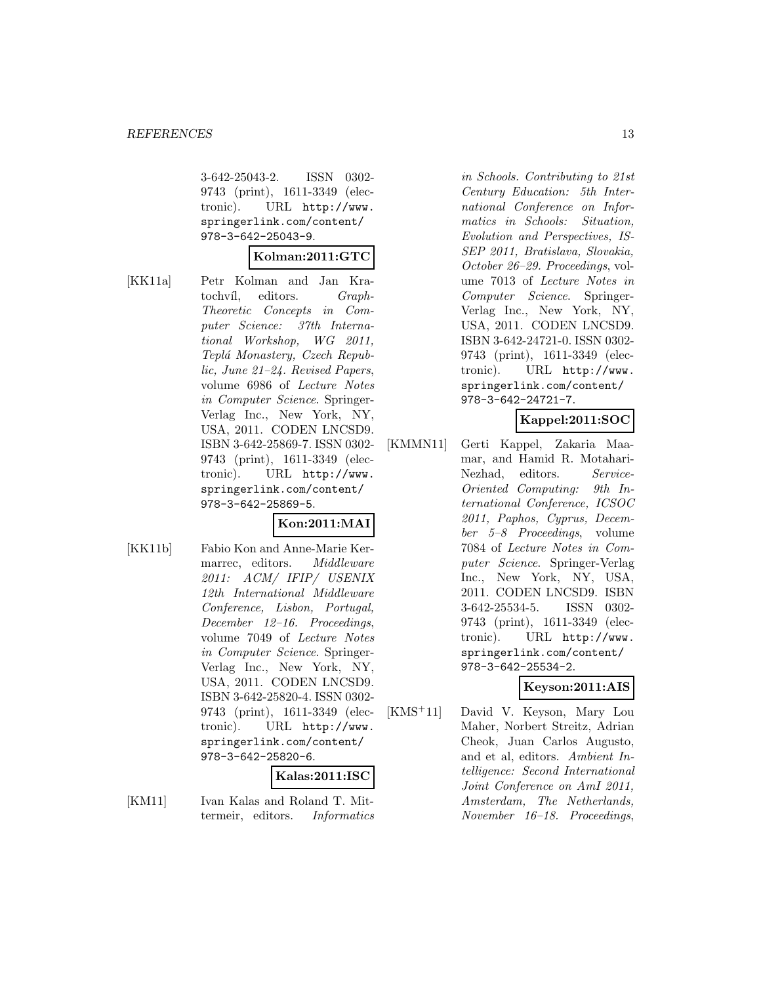3-642-25043-2. ISSN 0302- 9743 (print), 1611-3349 (electronic). URL http://www. springerlink.com/content/ 978-3-642-25043-9.

#### **Kolman:2011:GTC**

[KK11a] Petr Kolman and Jan Kratochvíl, editors. Graph-Theoretic Concepts in Computer Science: 37th International Workshop, WG 2011, Teplá Monastery, Czech Republic, June 21–24. Revised Papers, volume 6986 of Lecture Notes in Computer Science. Springer-Verlag Inc., New York, NY, USA, 2011. CODEN LNCSD9. ISBN 3-642-25869-7. ISSN 0302- 9743 (print), 1611-3349 (electronic). URL http://www. springerlink.com/content/ 978-3-642-25869-5.

# **Kon:2011:MAI**

[KK11b] Fabio Kon and Anne-Marie Kermarrec, editors. *Middleware* 2011: ACM/ IFIP/ USENIX 12th International Middleware Conference, Lisbon, Portugal, December 12–16. Proceedings, volume 7049 of Lecture Notes in Computer Science. Springer-Verlag Inc., New York, NY, USA, 2011. CODEN LNCSD9. ISBN 3-642-25820-4. ISSN 0302- 9743 (print), 1611-3349 (electronic). URL http://www. springerlink.com/content/ 978-3-642-25820-6.

# **Kalas:2011:ISC**

[KM11] Ivan Kalas and Roland T. Mittermeir, editors. Informatics

in Schools. Contributing to 21st Century Education: 5th International Conference on Informatics in Schools: Situation, Evolution and Perspectives, IS-SEP 2011, Bratislava, Slovakia, October 26–29. Proceedings, volume 7013 of Lecture Notes in Computer Science. Springer-Verlag Inc., New York, NY, USA, 2011. CODEN LNCSD9. ISBN 3-642-24721-0. ISSN 0302- 9743 (print), 1611-3349 (electronic). URL http://www. springerlink.com/content/ 978-3-642-24721-7.

## **Kappel:2011:SOC**

[KMMN11] Gerti Kappel, Zakaria Maamar, and Hamid R. Motahari-Nezhad, editors. Service-Oriented Computing: 9th International Conference, ICSOC 2011, Paphos, Cyprus, December 5–8 Proceedings, volume 7084 of Lecture Notes in Computer Science. Springer-Verlag Inc., New York, NY, USA, 2011. CODEN LNCSD9. ISBN 3-642-25534-5. ISSN 0302- 9743 (print), 1611-3349 (electronic). URL http://www. springerlink.com/content/ 978-3-642-25534-2.

## **Keyson:2011:AIS**

[KMS<sup>+</sup>11] David V. Keyson, Mary Lou Maher, Norbert Streitz, Adrian Cheok, Juan Carlos Augusto, and et al, editors. Ambient Intelligence: Second International Joint Conference on AmI 2011, Amsterdam, The Netherlands, November 16–18. Proceedings,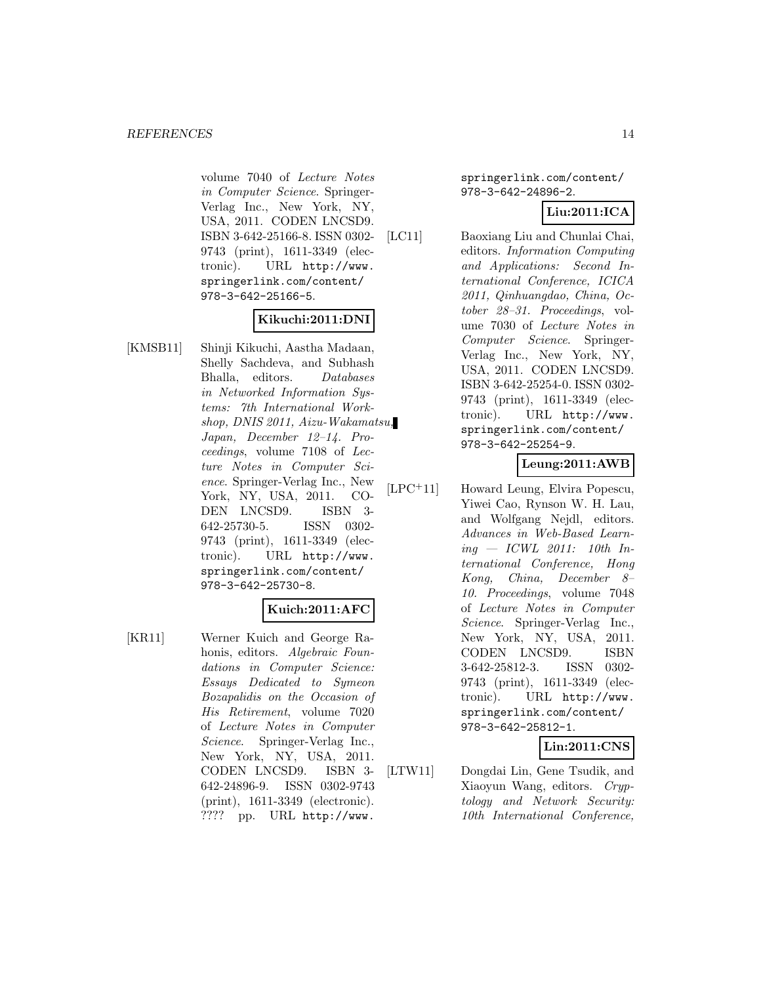volume 7040 of Lecture Notes in Computer Science. Springer-Verlag Inc., New York, NY, USA, 2011. CODEN LNCSD9. ISBN 3-642-25166-8. ISSN 0302- 9743 (print), 1611-3349 (electronic). URL http://www. springerlink.com/content/ 978-3-642-25166-5.

## **Kikuchi:2011:DNI**

[KMSB11] Shinji Kikuchi, Aastha Madaan, Shelly Sachdeva, and Subhash Bhalla, editors. Databases in Networked Information Systems: 7th International Workshop, DNIS 2011, Aizu-Wakamatsu, Japan, December 12–14. Proceedings, volume 7108 of Lecture Notes in Computer Science. Springer-Verlag Inc., New York, NY, USA, 2011. CO-DEN LNCSD9. ISBN 3- 642-25730-5. ISSN 0302- 9743 (print), 1611-3349 (electronic). URL http://www. springerlink.com/content/ 978-3-642-25730-8.

### **Kuich:2011:AFC**

[KR11] Werner Kuich and George Rahonis, editors. Algebraic Foundations in Computer Science: Essays Dedicated to Symeon Bozapalidis on the Occasion of His Retirement, volume 7020 of Lecture Notes in Computer Science. Springer-Verlag Inc., New York, NY, USA, 2011. CODEN LNCSD9. ISBN 3- 642-24896-9. ISSN 0302-9743 (print), 1611-3349 (electronic). ???? pp. URL http://www.

springerlink.com/content/ 978-3-642-24896-2.

## **Liu:2011:ICA**

[LC11] Baoxiang Liu and Chunlai Chai, editors. Information Computing and Applications: Second International Conference, ICICA 2011, Qinhuangdao, China, October 28–31. Proceedings, volume 7030 of Lecture Notes in Computer Science. Springer-Verlag Inc., New York, NY, USA, 2011. CODEN LNCSD9. ISBN 3-642-25254-0. ISSN 0302- 9743 (print), 1611-3349 (electronic). URL http://www. springerlink.com/content/ 978-3-642-25254-9.

# **Leung:2011:AWB**

[LPC<sup>+</sup>11] Howard Leung, Elvira Popescu, Yiwei Cao, Rynson W. H. Lau, and Wolfgang Nejdl, editors. Advances in Web-Based Learn $ing - ICWL$  2011: 10th International Conference, Hong Kong, China, December 8– 10. Proceedings, volume 7048 of Lecture Notes in Computer Science. Springer-Verlag Inc., New York, NY, USA, 2011. CODEN LNCSD9. ISBN 3-642-25812-3. ISSN 0302- 9743 (print), 1611-3349 (electronic). URL http://www. springerlink.com/content/ 978-3-642-25812-1.

### **Lin:2011:CNS**

[LTW11] Dongdai Lin, Gene Tsudik, and Xiaoyun Wang, editors. Cryptology and Network Security: 10th International Conference,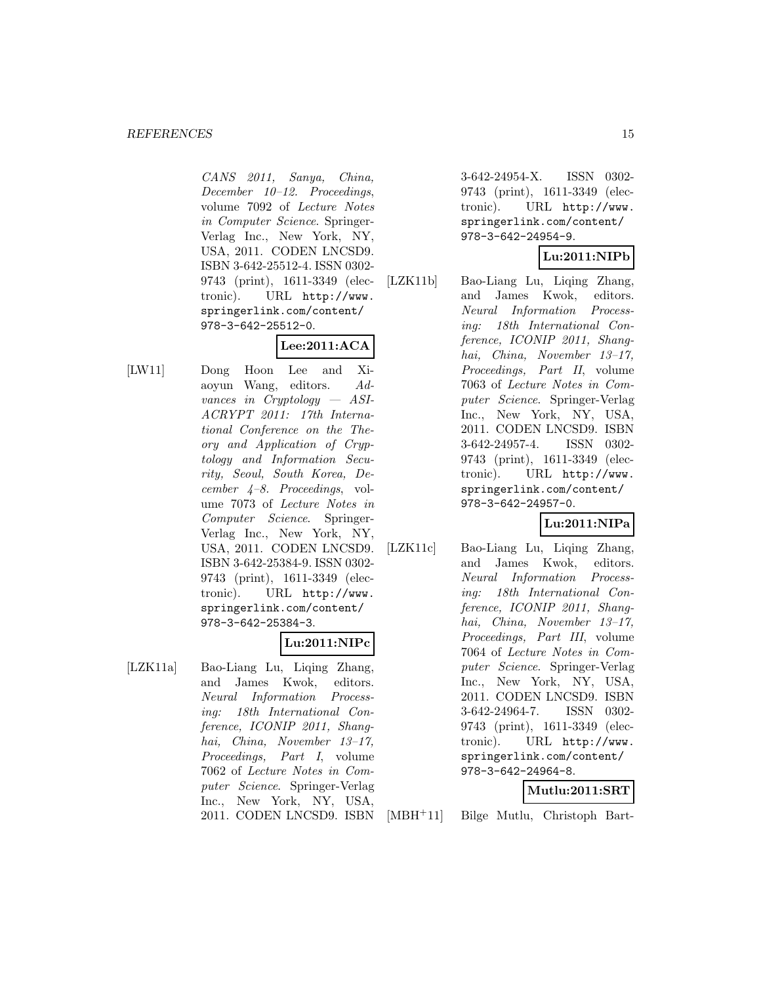CANS 2011, Sanya, China, December 10–12. Proceedings, volume 7092 of Lecture Notes in Computer Science. Springer-Verlag Inc., New York, NY, USA, 2011. CODEN LNCSD9. ISBN 3-642-25512-4. ISSN 0302- 9743 (print), 1611-3349 (electronic). URL http://www. springerlink.com/content/ 978-3-642-25512-0.

# **Lee:2011:ACA**

[LW11] Dong Hoon Lee and Xiaoyun Wang, editors. Advances in Cryptology — ASI-ACRYPT 2011: 17th International Conference on the Theory and Application of Cryptology and Information Security, Seoul, South Korea, December 4–8. Proceedings, volume 7073 of Lecture Notes in Computer Science. Springer-Verlag Inc., New York, NY, USA, 2011. CODEN LNCSD9. ISBN 3-642-25384-9. ISSN 0302- 9743 (print), 1611-3349 (electronic). URL http://www. springerlink.com/content/ 978-3-642-25384-3.

### **Lu:2011:NIPc**

[LZK11a] Bao-Liang Lu, Liqing Zhang, and James Kwok, editors. Neural Information Processing: 18th International Conference, ICONIP 2011, Shanghai, China, November 13–17, Proceedings, Part I, volume 7062 of Lecture Notes in Computer Science. Springer-Verlag Inc., New York, NY, USA,

3-642-24954-X. ISSN 0302- 9743 (print), 1611-3349 (electronic). URL http://www. springerlink.com/content/ 978-3-642-24954-9.

## **Lu:2011:NIPb**

[LZK11b] Bao-Liang Lu, Liqing Zhang, and James Kwok, editors. Neural Information Processing: 18th International Conference, ICONIP 2011, Shanghai, China, November 13–17, Proceedings, Part II, volume 7063 of Lecture Notes in Computer Science. Springer-Verlag Inc., New York, NY, USA, 2011. CODEN LNCSD9. ISBN 3-642-24957-4. ISSN 0302- 9743 (print), 1611-3349 (electronic). URL http://www. springerlink.com/content/ 978-3-642-24957-0.

# **Lu:2011:NIPa**

[LZK11c] Bao-Liang Lu, Liqing Zhang, and James Kwok, editors. Neural Information Processing: 18th International Conference, ICONIP 2011, Shanghai, China, November 13–17, Proceedings, Part III, volume 7064 of Lecture Notes in Computer Science. Springer-Verlag Inc., New York, NY, USA, 2011. CODEN LNCSD9. ISBN 3-642-24964-7. ISSN 0302- 9743 (print), 1611-3349 (electronic). URL http://www. springerlink.com/content/ 978-3-642-24964-8.

### **Mutlu:2011:SRT**

2011. CODEN LNCSD9. ISBN

[MBH<sup>+</sup>11] Bilge Mutlu, Christoph Bart-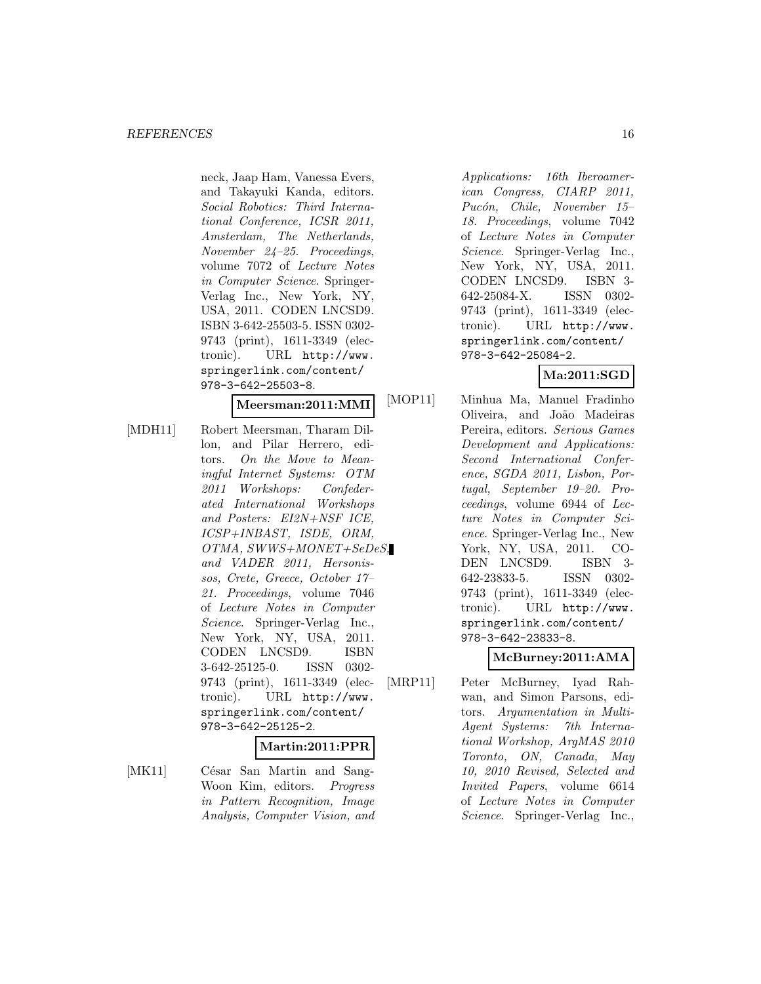neck, Jaap Ham, Vanessa Evers, and Takayuki Kanda, editors. Social Robotics: Third International Conference, ICSR 2011, Amsterdam, The Netherlands, November 24–25. Proceedings, volume 7072 of Lecture Notes in Computer Science. Springer-Verlag Inc., New York, NY, USA, 2011. CODEN LNCSD9. ISBN 3-642-25503-5. ISSN 0302- 9743 (print), 1611-3349 (electronic). URL http://www. springerlink.com/content/ 978-3-642-25503-8.

#### **Meersman:2011:MMI**

- [MDH11] Robert Meersman, Tharam Dillon, and Pilar Herrero, editors. On the Move to Meaningful Internet Systems: OTM 2011 Workshops: Confederated International Workshops and Posters: EI2N+NSF ICE, ICSP+INBAST, ISDE, ORM, OTMA, SWWS+MONET+SeDeS, and VADER 2011, Hersonissos, Crete, Greece, October 17– 21. Proceedings, volume 7046 of Lecture Notes in Computer Science. Springer-Verlag Inc., New York, NY, USA, 2011. CODEN LNCSD9. ISBN 3-642-25125-0. ISSN 0302- 9743 (print), 1611-3349 (electronic). URL http://www. springerlink.com/content/ 978-3-642-25125-2. **Martin:2011:PPR**
- [MK11] César San Martin and Sang-Woon Kim, editors. Progress in Pattern Recognition, Image Analysis, Computer Vision, and

Applications: 16th Iberoamerican Congress, CIARP 2011, Pucón, Chile, November 15-18. Proceedings, volume 7042 of Lecture Notes in Computer Science. Springer-Verlag Inc., New York, NY, USA, 2011. CODEN LNCSD9. ISBN 3- 642-25084-X. ISSN 0302- 9743 (print), 1611-3349 (electronic). URL http://www. springerlink.com/content/ 978-3-642-25084-2.

## **Ma:2011:SGD**

[MOP11] Minhua Ma, Manuel Fradinho Oliveira, and Jo˜ao Madeiras Pereira, editors. Serious Games Development and Applications: Second International Conference, SGDA 2011, Lisbon, Portugal, September 19–20. Proceedings, volume 6944 of Lecture Notes in Computer Science. Springer-Verlag Inc., New York, NY, USA, 2011. CO-DEN LNCSD9. ISBN 3- 642-23833-5. ISSN 0302- 9743 (print), 1611-3349 (electronic). URL http://www. springerlink.com/content/ 978-3-642-23833-8.

# **McBurney:2011:AMA**

[MRP11] Peter McBurney, Iyad Rahwan, and Simon Parsons, editors. Argumentation in Multi-Agent Systems: 7th International Workshop, ArgMAS 2010 Toronto, ON, Canada, May 10, 2010 Revised, Selected and Invited Papers, volume 6614 of Lecture Notes in Computer Science. Springer-Verlag Inc.,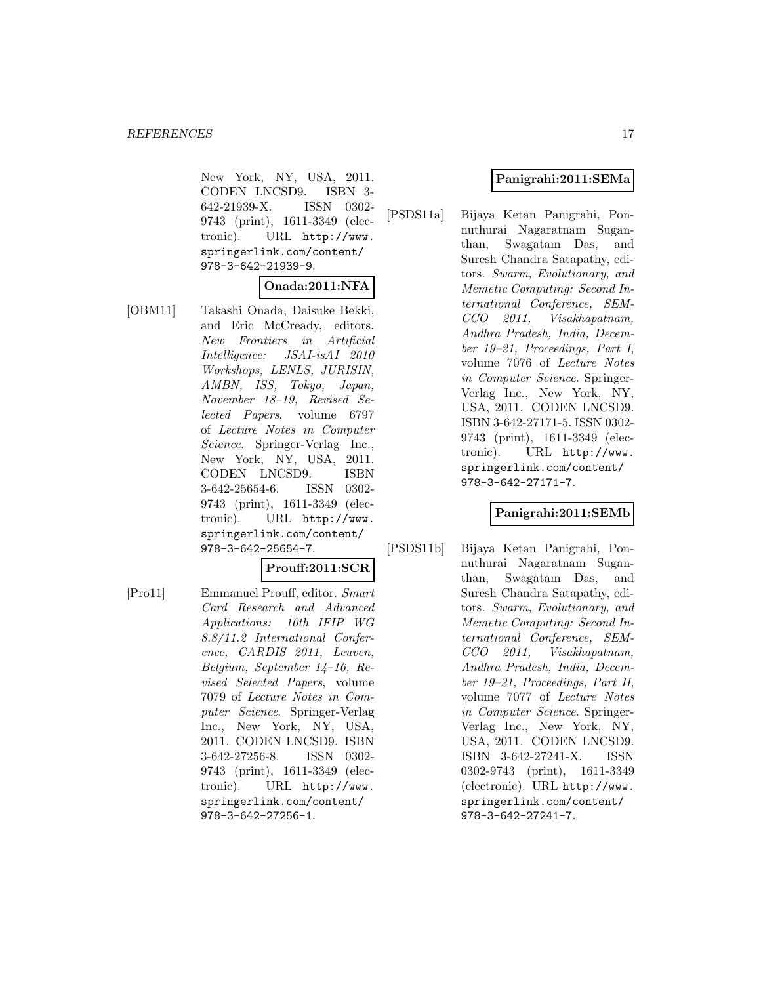New York, NY, USA, 2011. CODEN LNCSD9. ISBN 3- 642-21939-X. ISSN 0302- 9743 (print), 1611-3349 (electronic). URL http://www. springerlink.com/content/ 978-3-642-21939-9.

### **Onada:2011:NFA**

[OBM11] Takashi Onada, Daisuke Bekki, and Eric McCready, editors. New Frontiers in Artificial Intelligence: JSAI-isAI 2010 Workshops, LENLS, JURISIN, AMBN, ISS, Tokyo, Japan, November 18–19, Revised Selected Papers, volume 6797 of Lecture Notes in Computer Science. Springer-Verlag Inc., New York, NY, USA, 2011. CODEN LNCSD9. ISBN 3-642-25654-6. ISSN 0302- 9743 (print), 1611-3349 (electronic). URL http://www. springerlink.com/content/ 978-3-642-25654-7.

## **Prouff:2011:SCR**

[Pro11] Emmanuel Prouff, editor. Smart Card Research and Advanced Applications: 10th IFIP WG 8.8/11.2 International Conference, CARDIS 2011, Leuven, Belgium, September 14–16, Revised Selected Papers, volume 7079 of Lecture Notes in Computer Science. Springer-Verlag Inc., New York, NY, USA, 2011. CODEN LNCSD9. ISBN 3-642-27256-8. ISSN 0302- 9743 (print), 1611-3349 (electronic). URL http://www. springerlink.com/content/ 978-3-642-27256-1.

### **Panigrahi:2011:SEMa**

[PSDS11a] Bijaya Ketan Panigrahi, Ponnuthurai Nagaratnam Suganthan, Swagatam Das, and Suresh Chandra Satapathy, editors. Swarm, Evolutionary, and Memetic Computing: Second International Conference, SEM-CCO 2011, Visakhapatnam, Andhra Pradesh, India, December 19–21, Proceedings, Part I, volume 7076 of Lecture Notes in Computer Science. Springer-Verlag Inc., New York, NY, USA, 2011. CODEN LNCSD9. ISBN 3-642-27171-5. ISSN 0302- 9743 (print), 1611-3349 (electronic). URL http://www. springerlink.com/content/ 978-3-642-27171-7.

### **Panigrahi:2011:SEMb**

[PSDS11b] Bijaya Ketan Panigrahi, Ponnuthurai Nagaratnam Suganthan, Swagatam Das, and Suresh Chandra Satapathy, editors. Swarm, Evolutionary, and Memetic Computing: Second International Conference, SEM-CCO 2011, Visakhapatnam, Andhra Pradesh, India, December 19–21, Proceedings, Part II, volume 7077 of Lecture Notes in Computer Science. Springer-Verlag Inc., New York, NY, USA, 2011. CODEN LNCSD9. ISBN 3-642-27241-X. ISSN 0302-9743 (print), 1611-3349 (electronic). URL http://www. springerlink.com/content/ 978-3-642-27241-7.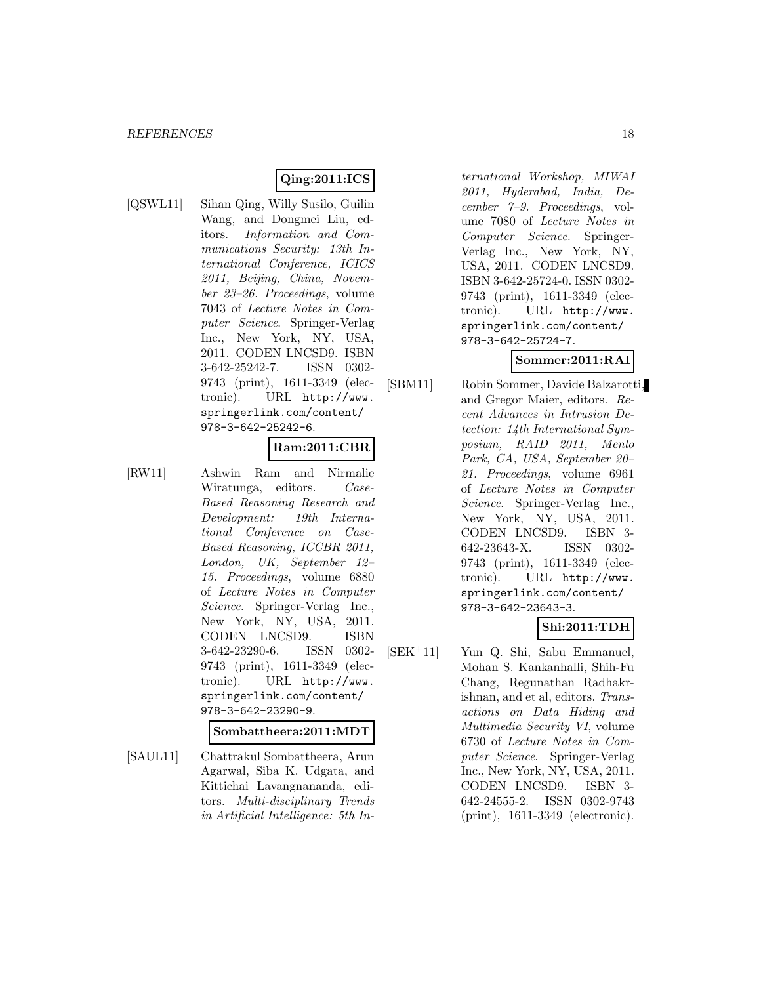## **Qing:2011:ICS**

[QSWL11] Sihan Qing, Willy Susilo, Guilin Wang, and Dongmei Liu, editors. Information and Communications Security: 13th International Conference, ICICS 2011, Beijing, China, November 23–26. Proceedings, volume 7043 of Lecture Notes in Computer Science. Springer-Verlag Inc., New York, NY, USA, 2011. CODEN LNCSD9. ISBN 3-642-25242-7. ISSN 0302- 9743 (print), 1611-3349 (electronic). URL http://www. springerlink.com/content/ 978-3-642-25242-6.

## **Ram:2011:CBR**

[RW11] Ashwin Ram and Nirmalie Wiratunga, editors. Case-Based Reasoning Research and Development: 19th International Conference on Case-Based Reasoning, ICCBR 2011, London, UK, September 12– 15. Proceedings, volume 6880 of Lecture Notes in Computer Science. Springer-Verlag Inc., New York, NY, USA, 2011. CODEN LNCSD9. ISBN 3-642-23290-6. ISSN 0302- 9743 (print), 1611-3349 (electronic). URL http://www. springerlink.com/content/ 978-3-642-23290-9.

**Sombattheera:2011:MDT**

[SAUL11] Chattrakul Sombattheera, Arun Agarwal, Siba K. Udgata, and Kittichai Lavangnananda, editors. Multi-disciplinary Trends in Artificial Intelligence: 5th In-

ternational Workshop, MIWAI 2011, Hyderabad, India, December 7–9. Proceedings, volume 7080 of Lecture Notes in Computer Science. Springer-Verlag Inc., New York, NY, USA, 2011. CODEN LNCSD9. ISBN 3-642-25724-0. ISSN 0302- 9743 (print), 1611-3349 (electronic). URL http://www. springerlink.com/content/ 978-3-642-25724-7.

## **Sommer:2011:RAI**

[SBM11] Robin Sommer, Davide Balzarotti, and Gregor Maier, editors. Recent Advances in Intrusion Detection: 14th International Symposium, RAID 2011, Menlo Park, CA, USA, September 20– 21. Proceedings, volume 6961 of Lecture Notes in Computer Science. Springer-Verlag Inc., New York, NY, USA, 2011. CODEN LNCSD9. ISBN 3- 642-23643-X. ISSN 0302- 9743 (print), 1611-3349 (electronic). URL http://www. springerlink.com/content/ 978-3-642-23643-3.

### **Shi:2011:TDH**

[SEK<sup>+</sup>11] Yun Q. Shi, Sabu Emmanuel, Mohan S. Kankanhalli, Shih-Fu Chang, Regunathan Radhakrishnan, and et al, editors. Transactions on Data Hiding and Multimedia Security VI, volume 6730 of Lecture Notes in Computer Science. Springer-Verlag Inc., New York, NY, USA, 2011. CODEN LNCSD9. ISBN 3- 642-24555-2. ISSN 0302-9743 (print), 1611-3349 (electronic).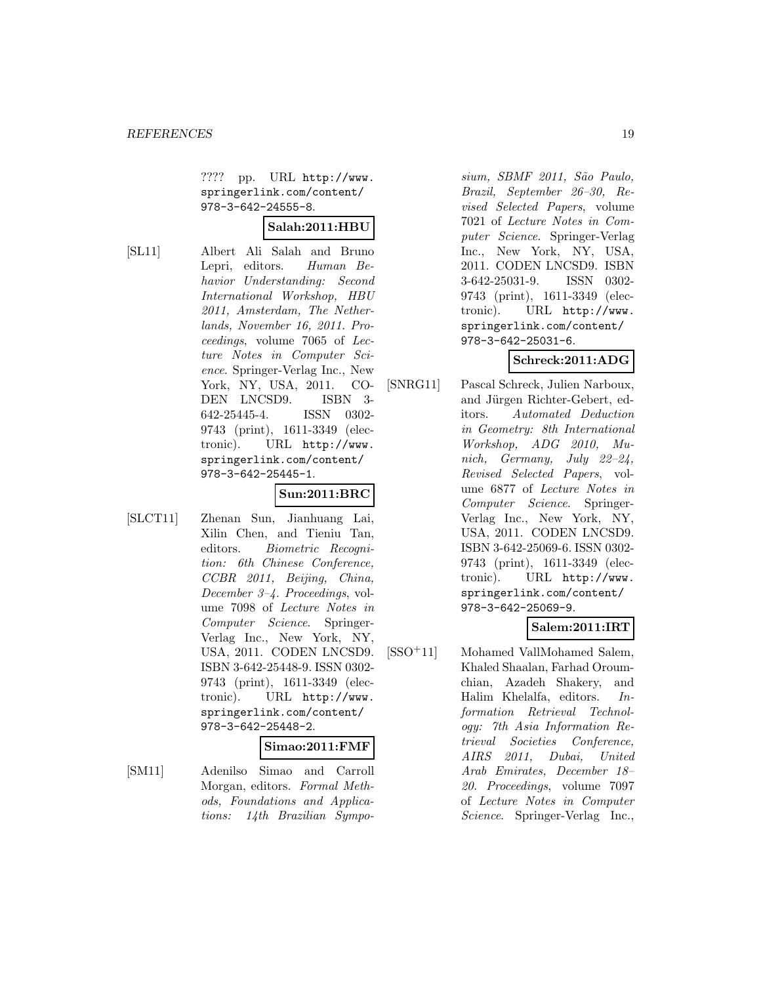???? pp. URL http://www. springerlink.com/content/ 978-3-642-24555-8.

## **Salah:2011:HBU**

[SL11] Albert Ali Salah and Bruno Lepri, editors. Human Behavior Understanding: Second International Workshop, HBU 2011, Amsterdam, The Netherlands, November 16, 2011. Proceedings, volume 7065 of Lecture Notes in Computer Science. Springer-Verlag Inc., New York, NY, USA, 2011. CO-DEN LNCSD9. ISBN 3- 642-25445-4. ISSN 0302- 9743 (print), 1611-3349 (electronic). URL http://www. springerlink.com/content/ 978-3-642-25445-1.

# **Sun:2011:BRC**

[SLCT11] Zhenan Sun, Jianhuang Lai, Xilin Chen, and Tieniu Tan, editors. Biometric Recognition: 6th Chinese Conference, CCBR 2011, Beijing, China, December 3–4. Proceedings, volume 7098 of Lecture Notes in Computer Science. Springer-Verlag Inc., New York, NY, USA, 2011. CODEN LNCSD9. ISBN 3-642-25448-9. ISSN 0302- 9743 (print), 1611-3349 (electronic). URL http://www. springerlink.com/content/ 978-3-642-25448-2.

#### **Simao:2011:FMF**

[SM11] Adenilso Simao and Carroll Morgan, editors. Formal Methods, Foundations and Applications: 14th Brazilian Sympo-

sium, SBMF 2011, São Paulo, Brazil, September 26–30, Revised Selected Papers, volume 7021 of Lecture Notes in Computer Science. Springer-Verlag Inc., New York, NY, USA, 2011. CODEN LNCSD9. ISBN 3-642-25031-9. ISSN 0302- 9743 (print), 1611-3349 (electronic). URL http://www. springerlink.com/content/ 978-3-642-25031-6.

# **Schreck:2011:ADG**

[SNRG11] Pascal Schreck, Julien Narboux, and Jürgen Richter-Gebert, editors. Automated Deduction in Geometry: 8th International Workshop, ADG 2010, Munich, Germany, July 22–24, Revised Selected Papers, volume 6877 of Lecture Notes in Computer Science. Springer-Verlag Inc., New York, NY, USA, 2011. CODEN LNCSD9. ISBN 3-642-25069-6. ISSN 0302- 9743 (print), 1611-3349 (electronic). URL http://www. springerlink.com/content/ 978-3-642-25069-9.

# **Salem:2011:IRT**

[SSO<sup>+</sup>11] Mohamed VallMohamed Salem, Khaled Shaalan, Farhad Oroumchian, Azadeh Shakery, and Halim Khelalfa, editors. Information Retrieval Technology: 7th Asia Information Retrieval Societies Conference, AIRS 2011, Dubai, United Arab Emirates, December 18– 20. Proceedings, volume 7097 of Lecture Notes in Computer Science. Springer-Verlag Inc.,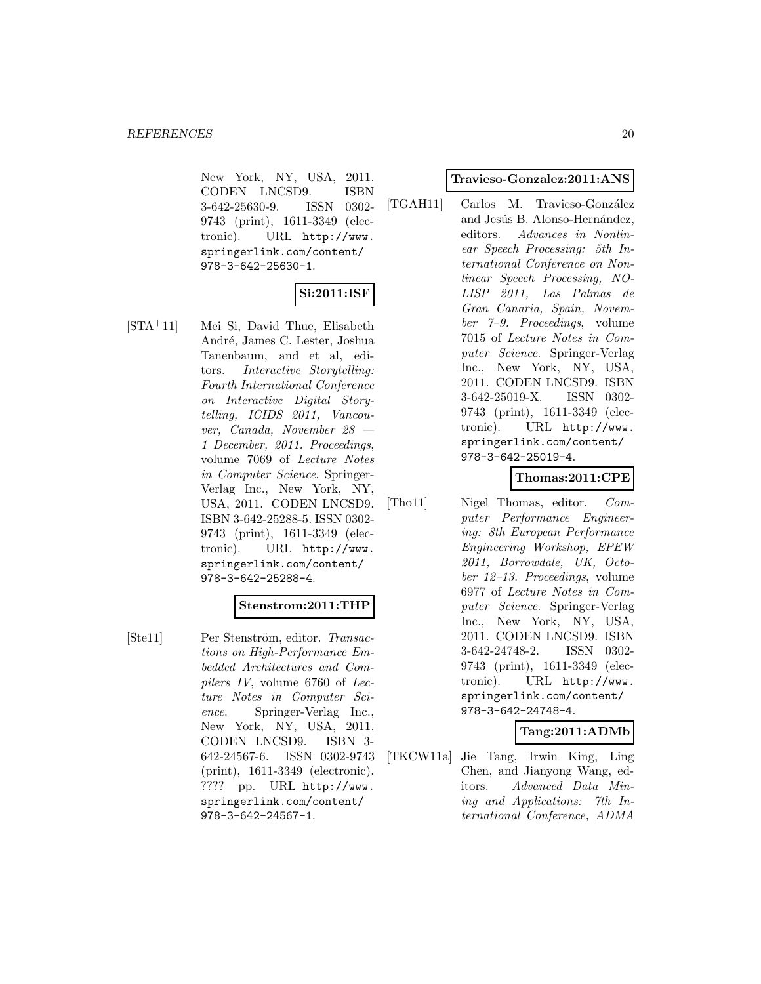New York, NY, USA, 2011. CODEN LNCSD9. ISBN 3-642-25630-9. ISSN 0302- 9743 (print), 1611-3349 (electronic). URL http://www. springerlink.com/content/ 978-3-642-25630-1.

# **Si:2011:ISF**

[STA<sup>+</sup>11] Mei Si, David Thue, Elisabeth André, James C. Lester, Joshua Tanenbaum, and et al, editors. Interactive Storytelling: Fourth International Conference on Interactive Digital Storytelling, ICIDS 2011, Vancouver, Canada, November 28 — 1 December, 2011. Proceedings, volume 7069 of Lecture Notes in Computer Science. Springer-Verlag Inc., New York, NY, USA, 2011. CODEN LNCSD9. ISBN 3-642-25288-5. ISSN 0302- 9743 (print), 1611-3349 (electronic). URL http://www. springerlink.com/content/ 978-3-642-25288-4.

#### **Stenstrom:2011:THP**

[Ste11] Per Stenström, editor. Transactions on High-Performance Embedded Architectures and Compilers IV, volume 6760 of Lecture Notes in Computer Science. Springer-Verlag Inc., New York, NY, USA, 2011. CODEN LNCSD9. ISBN 3- 642-24567-6. ISSN 0302-9743 (print), 1611-3349 (electronic). ???? pp. URL http://www. springerlink.com/content/ 978-3-642-24567-1.

#### **Travieso-Gonzalez:2011:ANS**

[TGAH11] Carlos M. Travieso-González and Jesús B. Alonso-Hernández, editors. Advances in Nonlinear Speech Processing: 5th International Conference on Nonlinear Speech Processing, NO-LISP 2011, Las Palmas de Gran Canaria, Spain, November 7–9. Proceedings, volume 7015 of Lecture Notes in Computer Science. Springer-Verlag Inc., New York, NY, USA, 2011. CODEN LNCSD9. ISBN 3-642-25019-X. ISSN 0302- 9743 (print), 1611-3349 (electronic). URL http://www. springerlink.com/content/ 978-3-642-25019-4.

### **Thomas:2011:CPE**

[Tho11] Nigel Thomas, editor. Computer Performance Engineering: 8th European Performance Engineering Workshop, EPEW 2011, Borrowdale, UK, October 12–13. Proceedings, volume 6977 of Lecture Notes in Computer Science. Springer-Verlag Inc., New York, NY, USA, 2011. CODEN LNCSD9. ISBN 3-642-24748-2. ISSN 0302- 9743 (print), 1611-3349 (electronic). URL http://www. springerlink.com/content/ 978-3-642-24748-4.

### **Tang:2011:ADMb**

[TKCW11a] Jie Tang, Irwin King, Ling Chen, and Jianyong Wang, editors. Advanced Data Mining and Applications: 7th International Conference, ADMA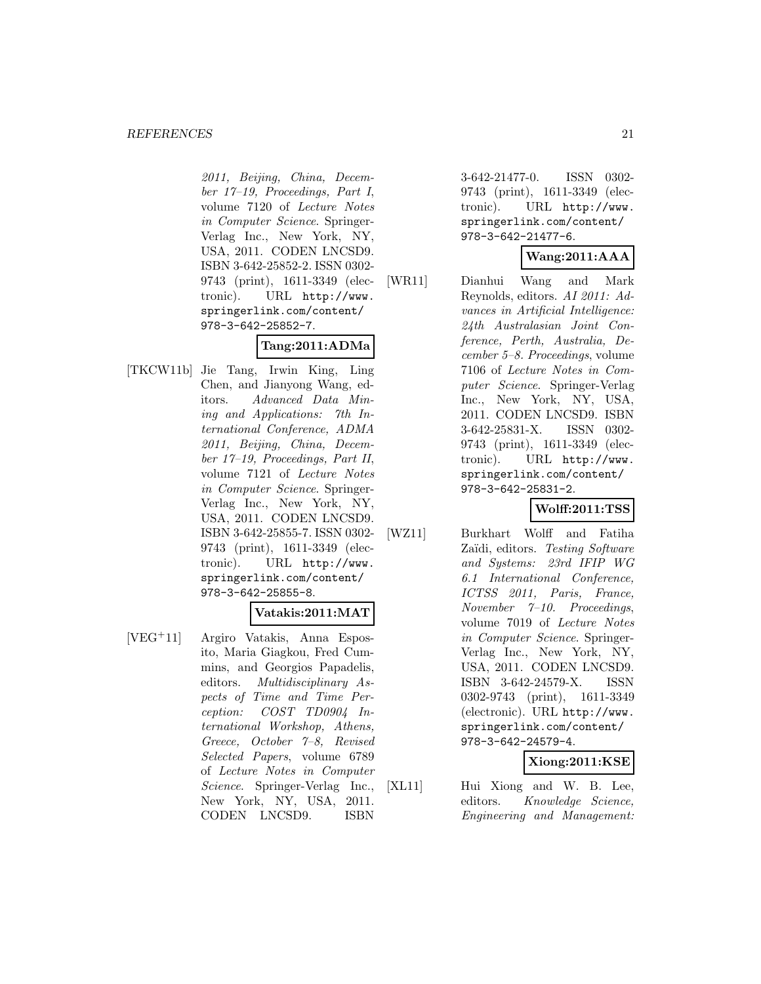#### *REFERENCES* 21

2011, Beijing, China, December 17–19, Proceedings, Part I, volume 7120 of Lecture Notes in Computer Science. Springer-Verlag Inc., New York, NY, USA, 2011. CODEN LNCSD9. ISBN 3-642-25852-2. ISSN 0302- 9743 (print), 1611-3349 (electronic). URL http://www. springerlink.com/content/ 978-3-642-25852-7.

### **Tang:2011:ADMa**

[TKCW11b] Jie Tang, Irwin King, Ling Chen, and Jianyong Wang, editors. Advanced Data Mining and Applications: 7th International Conference, ADMA 2011, Beijing, China, December 17–19, Proceedings, Part II, volume 7121 of Lecture Notes in Computer Science. Springer-Verlag Inc., New York, NY, USA, 2011. CODEN LNCSD9. ISBN 3-642-25855-7. ISSN 0302- 9743 (print), 1611-3349 (electronic). URL http://www. springerlink.com/content/ 978-3-642-25855-8.

#### **Vatakis:2011:MAT**

[VEG<sup>+</sup>11] Argiro Vatakis, Anna Esposito, Maria Giagkou, Fred Cummins, and Georgios Papadelis, editors. Multidisciplinary Aspects of Time and Time Perception: COST TD0904 International Workshop, Athens, Greece, October 7–8, Revised Selected Papers, volume 6789 of Lecture Notes in Computer Science. Springer-Verlag Inc., New York, NY, USA, 2011. CODEN LNCSD9. ISBN

3-642-21477-0. ISSN 0302- 9743 (print), 1611-3349 (electronic). URL http://www. springerlink.com/content/ 978-3-642-21477-6.

## **Wang:2011:AAA**

[WR11] Dianhui Wang and Mark Reynolds, editors. AI 2011: Advances in Artificial Intelligence: 24th Australasian Joint Conference, Perth, Australia, December 5–8. Proceedings, volume 7106 of Lecture Notes in Computer Science. Springer-Verlag Inc., New York, NY, USA, 2011. CODEN LNCSD9. ISBN 3-642-25831-X. ISSN 0302- 9743 (print), 1611-3349 (electronic). URL http://www. springerlink.com/content/ 978-3-642-25831-2.

# **Wolff:2011:TSS**

[WZ11] Burkhart Wolff and Fatiha Zaïdi, editors. Testing Software and Systems: 23rd IFIP WG 6.1 International Conference, ICTSS 2011, Paris, France, November 7–10. Proceedings, volume 7019 of Lecture Notes in Computer Science. Springer-Verlag Inc., New York, NY, USA, 2011. CODEN LNCSD9. ISBN 3-642-24579-X. ISSN 0302-9743 (print), 1611-3349 (electronic). URL http://www. springerlink.com/content/ 978-3-642-24579-4.

### **Xiong:2011:KSE**

[XL11] Hui Xiong and W. B. Lee, editors. Knowledge Science, Engineering and Management: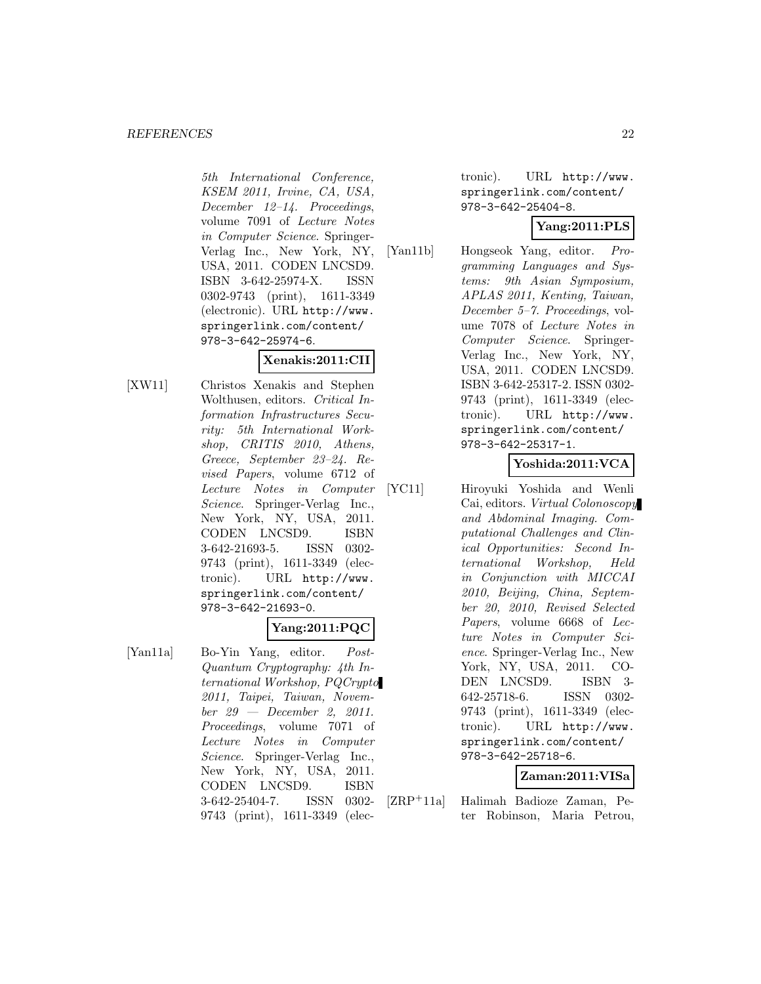#### *REFERENCES* 22

5th International Conference, KSEM 2011, Irvine, CA, USA, December 12–14. Proceedings, volume 7091 of Lecture Notes in Computer Science. Springer-Verlag Inc., New York, NY, USA, 2011. CODEN LNCSD9. ISBN 3-642-25974-X. ISSN 0302-9743 (print), 1611-3349 (electronic). URL http://www. springerlink.com/content/ 978-3-642-25974-6.

# **Xenakis:2011:CII**

[XW11] Christos Xenakis and Stephen Wolthusen, editors. Critical Information Infrastructures Security: 5th International Workshop, CRITIS 2010, Athens, Greece, September 23–24. Revised Papers, volume 6712 of Lecture Notes in Computer Science. Springer-Verlag Inc., New York, NY, USA, 2011. CODEN LNCSD9. ISBN 3-642-21693-5. ISSN 0302- 9743 (print), 1611-3349 (electronic). URL http://www. springerlink.com/content/ 978-3-642-21693-0.

# **Yang:2011:PQC**

[Yan11a] Bo-Yin Yang, editor. Post-Quantum Cryptography: 4th International Workshop, PQCrypto 2011, Taipei, Taiwan, November 29 — December 2, 2011. Proceedings, volume 7071 of Lecture Notes in Computer Science. Springer-Verlag Inc., New York, NY, USA, 2011. CODEN LNCSD9. ISBN 3-642-25404-7. ISSN 0302- 9743 (print), 1611-3349 (electronic). URL http://www. springerlink.com/content/ 978-3-642-25404-8.

## **Yang:2011:PLS**

[Yan11b] Hongseok Yang, editor. Programming Languages and Systems: 9th Asian Symposium, APLAS 2011, Kenting, Taiwan, December 5–7. Proceedings, volume 7078 of Lecture Notes in Computer Science. Springer-Verlag Inc., New York, NY, USA, 2011. CODEN LNCSD9. ISBN 3-642-25317-2. ISSN 0302- 9743 (print), 1611-3349 (electronic). URL http://www. springerlink.com/content/ 978-3-642-25317-1.

# **Yoshida:2011:VCA**

[YC11] Hiroyuki Yoshida and Wenli Cai, editors. Virtual Colonoscopy and Abdominal Imaging. Computational Challenges and Clinical Opportunities: Second International Workshop, Held in Conjunction with MICCAI 2010, Beijing, China, September 20, 2010, Revised Selected Papers, volume 6668 of Lecture Notes in Computer Science. Springer-Verlag Inc., New York, NY, USA, 2011. CO-DEN LNCSD9. ISBN 3- 642-25718-6. ISSN 0302- 9743 (print), 1611-3349 (electronic). URL http://www. springerlink.com/content/ 978-3-642-25718-6.

# **Zaman:2011:VISa**

[ZRP<sup>+</sup>11a] Halimah Badioze Zaman, Peter Robinson, Maria Petrou,